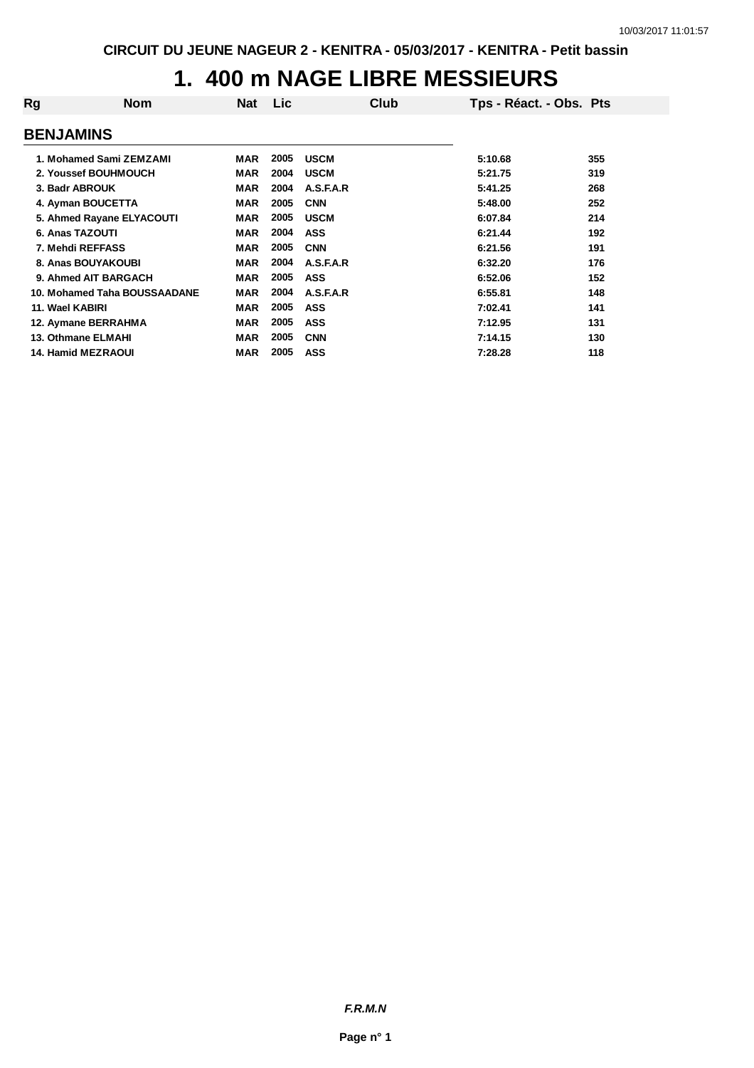# **1. 400 m NAGE LIBRE MESSIEURS**

| Rg                           | <b>Nom</b> | Nat        | <b>Lic</b> | Club        | Tps - Réact. - Obs. Pts |     |
|------------------------------|------------|------------|------------|-------------|-------------------------|-----|
| <b>BENJAMINS</b>             |            |            |            |             |                         |     |
| 1. Mohamed Sami ZEMZAMI      |            | <b>MAR</b> | 2005       | <b>USCM</b> | 5:10.68                 | 355 |
| 2. Youssef BOUHMOUCH         |            | <b>MAR</b> | 2004       | <b>USCM</b> | 5:21.75                 | 319 |
| 3. Badr ABROUK               |            | <b>MAR</b> | 2004       | A.S.F.A.R   | 5:41.25                 | 268 |
| 4. Ayman BOUCETTA            |            | MAR        | 2005       | <b>CNN</b>  | 5:48.00                 | 252 |
| 5. Ahmed Rayane ELYACOUTI    |            | <b>MAR</b> | 2005       | <b>USCM</b> | 6:07.84                 | 214 |
| 6. Anas TAZOUTI              |            | MAR        | 2004       | <b>ASS</b>  | 6:21.44                 | 192 |
| 7. Mehdi REFFASS             |            | <b>MAR</b> | 2005       | <b>CNN</b>  | 6:21.56                 | 191 |
| 8. Anas BOUYAKOUBI           |            | <b>MAR</b> | 2004       | A.S.F.A.R   | 6:32.20                 | 176 |
| 9. Ahmed AIT BARGACH         |            | <b>MAR</b> | 2005       | <b>ASS</b>  | 6:52.06                 | 152 |
| 10. Mohamed Taha BOUSSAADANE |            | <b>MAR</b> | 2004       | A.S.F.A.R   | 6:55.81                 | 148 |
| 11. Wael KABIRI              |            | <b>MAR</b> | 2005       | <b>ASS</b>  | 7:02.41                 | 141 |
| 12. Aymane BERRAHMA          |            | <b>MAR</b> | 2005       | <b>ASS</b>  | 7:12.95                 | 131 |
| <b>13. Othmane ELMAHI</b>    |            | <b>MAR</b> | 2005       | <b>CNN</b>  | 7:14.15                 | 130 |
| <b>14. Hamid MEZRAOUI</b>    |            | MAR        | 2005       | <b>ASS</b>  | 7:28.28                 | 118 |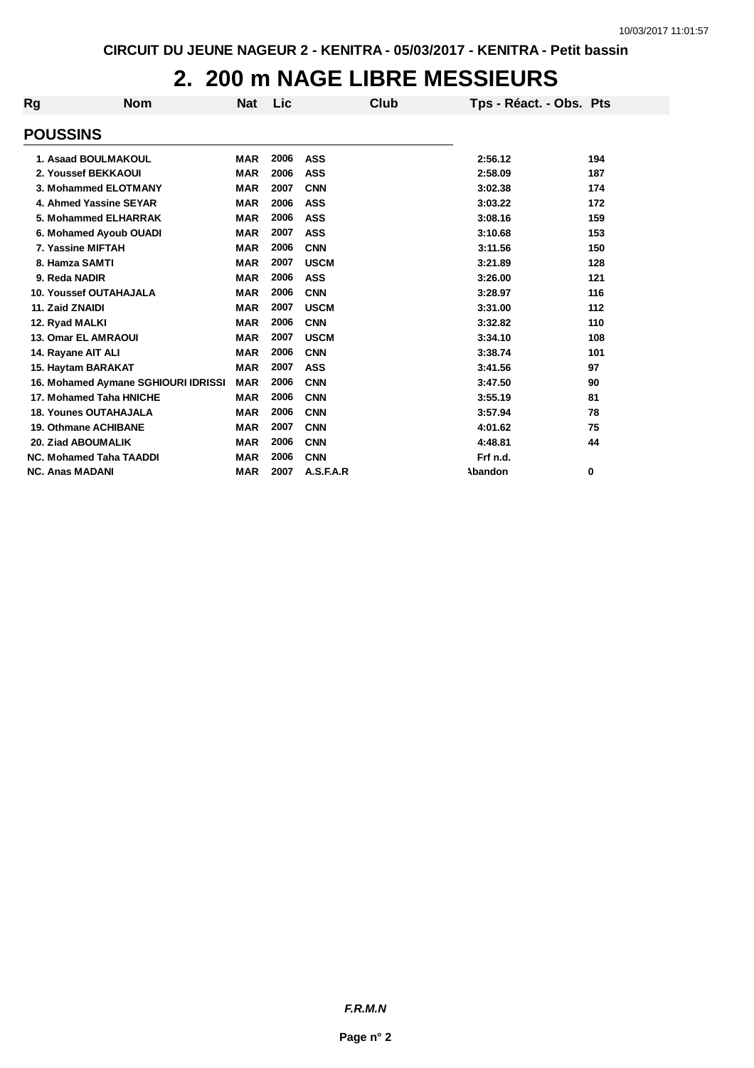# **2. 200 m NAGE LIBRE MESSIEURS**

| Rg | <b>Nom</b>                          | <b>Nat</b> | Lic  |             | Club | Tps - Réact. - Obs. Pts |       |
|----|-------------------------------------|------------|------|-------------|------|-------------------------|-------|
|    | <b>POUSSINS</b>                     |            |      |             |      |                         |       |
|    |                                     |            |      |             |      |                         |       |
|    | 1. Asaad BOULMAKOUL                 | <b>MAR</b> | 2006 | <b>ASS</b>  |      | 2:56.12                 | 194   |
|    | 2. Youssef BEKKAOUI                 | <b>MAR</b> | 2006 | <b>ASS</b>  |      | 2:58.09                 | 187   |
|    | 3. Mohammed ELOTMANY                | <b>MAR</b> | 2007 | <b>CNN</b>  |      | 3:02.38                 | 174   |
|    | 4. Ahmed Yassine SEYAR              | <b>MAR</b> | 2006 | <b>ASS</b>  |      | 3:03.22                 | 172   |
|    | 5. Mohammed ELHARRAK                | <b>MAR</b> | 2006 | <b>ASS</b>  |      | 3:08.16                 | 159   |
|    | 6. Mohamed Ayoub OUADI              | <b>MAR</b> | 2007 | <b>ASS</b>  |      | 3:10.68                 | 153   |
|    | 7. Yassine MIFTAH                   | <b>MAR</b> | 2006 | <b>CNN</b>  |      | 3:11.56                 | 150   |
|    | 8. Hamza SAMTI                      | <b>MAR</b> | 2007 | <b>USCM</b> |      | 3:21.89                 | 128   |
|    | 9. Reda NADIR                       | <b>MAR</b> | 2006 | <b>ASS</b>  |      | 3:26.00                 | $121$ |
|    | <b>10. Youssef OUTAHAJALA</b>       | <b>MAR</b> | 2006 | <b>CNN</b>  |      | 3:28.97                 | 116   |
|    | 11. Zaid ZNAIDI                     | <b>MAR</b> | 2007 | <b>USCM</b> |      | 3:31.00                 | $112$ |
|    | 12. Ryad MALKI                      | <b>MAR</b> | 2006 | <b>CNN</b>  |      | 3:32.82                 | 110   |
|    | <b>13. Omar EL AMRAOUI</b>          | <b>MAR</b> | 2007 | <b>USCM</b> |      | 3:34.10                 | 108   |
|    | 14. Rayane AIT ALI                  | <b>MAR</b> | 2006 | <b>CNN</b>  |      | 3:38.74                 | 101   |
|    | 15. Haytam BARAKAT                  | <b>MAR</b> | 2007 | <b>ASS</b>  |      | 3:41.56                 | 97    |
|    | 16. Mohamed Aymane SGHIOURI IDRISSI | <b>MAR</b> | 2006 | <b>CNN</b>  |      | 3:47.50                 | 90    |
|    | 17. Mohamed Taha HNICHE             | <b>MAR</b> | 2006 | <b>CNN</b>  |      | 3:55.19                 | 81    |
|    | <b>18. Younes OUTAHAJALA</b>        | <b>MAR</b> | 2006 | <b>CNN</b>  |      | 3:57.94                 | 78    |
|    | <b>19. Othmane ACHIBANE</b>         | <b>MAR</b> | 2007 | <b>CNN</b>  |      | 4:01.62                 | 75    |
|    | 20. Ziad ABOUMALIK                  | <b>MAR</b> | 2006 | <b>CNN</b>  |      | 4:48.81                 | 44    |
|    | <b>NC. Mohamed Taha TAADDI</b>      | <b>MAR</b> | 2006 | <b>CNN</b>  |      | Frf n.d.                |       |
|    | <b>NC. Anas MADANI</b>              | <b>MAR</b> | 2007 | A.S.F.A.R   |      | Abandon                 | 0     |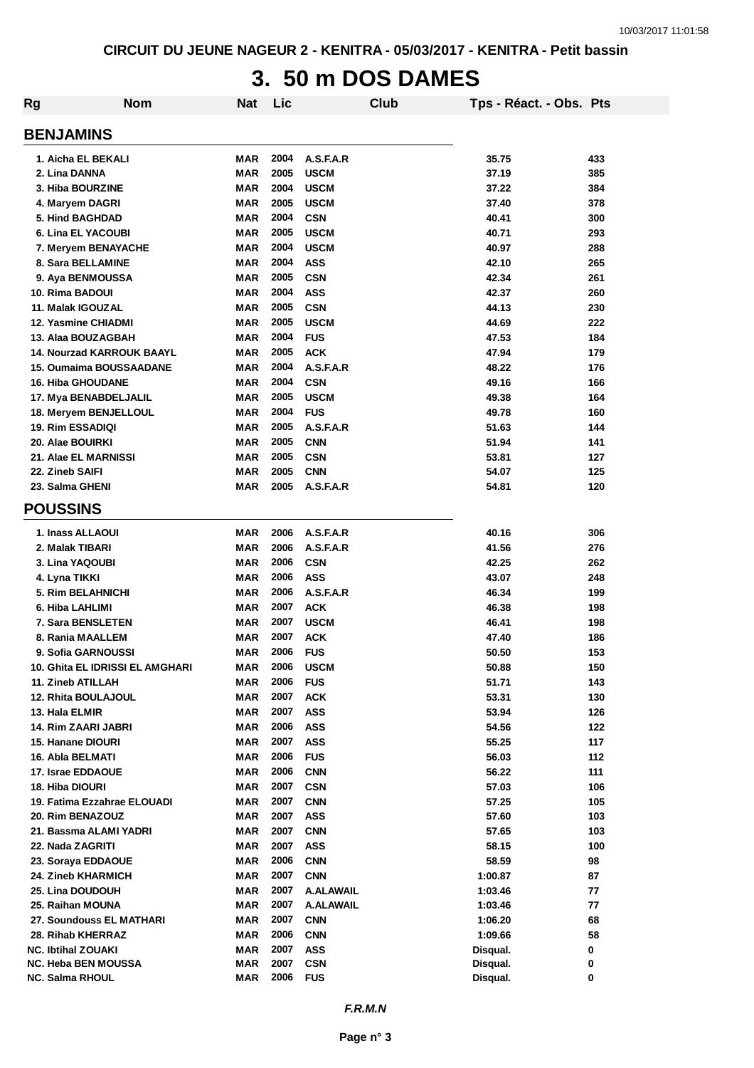# **3. 50 m DOS DAMES**

| <b>Rg</b>                  | <b>Nom</b>                       | <b>Nat</b> | Lic  |                  | <b>Club</b> | Tps - Réact. - Obs. Pts |     |
|----------------------------|----------------------------------|------------|------|------------------|-------------|-------------------------|-----|
| <b>BENJAMINS</b>           |                                  |            |      |                  |             |                         |     |
| 1. Aicha EL BEKALI         |                                  | <b>MAR</b> | 2004 | A.S.F.A.R        |             | 35.75                   | 433 |
| 2. Lina DANNA              |                                  | <b>MAR</b> | 2005 | <b>USCM</b>      |             | 37.19                   | 385 |
| 3. Hiba BOURZINE           |                                  | <b>MAR</b> | 2004 | <b>USCM</b>      |             | 37.22                   | 384 |
| 4. Maryem DAGRI            |                                  | <b>MAR</b> | 2005 | <b>USCM</b>      |             | 37.40                   | 378 |
| 5. Hind BAGHDAD            |                                  | <b>MAR</b> | 2004 | <b>CSN</b>       |             | 40.41                   | 300 |
| 6. Lina EL YACOUBI         |                                  | <b>MAR</b> | 2005 | <b>USCM</b>      |             | 40.71                   | 293 |
|                            | 7. Meryem BENAYACHE              | <b>MAR</b> | 2004 | <b>USCM</b>      |             | 40.97                   | 288 |
| 8. Sara BELLAMINE          |                                  | <b>MAR</b> | 2004 | <b>ASS</b>       |             | 42.10                   | 265 |
| 9. Aya BENMOUSSA           |                                  | <b>MAR</b> | 2005 | <b>CSN</b>       |             | 42.34                   | 261 |
| 10. Rima BADOUI            |                                  | <b>MAR</b> | 2004 | <b>ASS</b>       |             | 42.37                   | 260 |
| 11. Malak IGOUZAL          |                                  | <b>MAR</b> | 2005 | <b>CSN</b>       |             | 44.13                   | 230 |
| 12. Yasmine CHIADMI        |                                  | MAR        | 2005 | <b>USCM</b>      |             | 44.69                   | 222 |
| 13. Alaa BOUZAGBAH         |                                  | MAR        | 2004 | <b>FUS</b>       |             | 47.53                   | 184 |
|                            | <b>14. Nourzad KARROUK BAAYL</b> | <b>MAR</b> | 2005 | <b>ACK</b>       |             | 47.94                   | 179 |
|                            | 15. Oumaima BOUSSAADANE          | <b>MAR</b> | 2004 | A.S.F.A.R        |             | 48.22                   | 176 |
| <b>16. Hiba GHOUDANE</b>   |                                  | <b>MAR</b> | 2004 | <b>CSN</b>       |             | 49.16                   | 166 |
|                            | 17. Mya BENABDELJALIL            | <b>MAR</b> | 2005 | <b>USCM</b>      |             | 49.38                   | 164 |
|                            | 18. Meryem BENJELLOUL            | <b>MAR</b> | 2004 | <b>FUS</b>       |             | 49.78                   | 160 |
| 19. Rim ESSADIQI           |                                  | MAR        | 2005 | A.S.F.A.R        |             | 51.63                   | 144 |
| 20. Alae BOUIRKI           |                                  | <b>MAR</b> | 2005 | <b>CNN</b>       |             | 51.94                   | 141 |
| 21. Alae EL MARNISSI       |                                  | <b>MAR</b> | 2005 | <b>CSN</b>       |             | 53.81                   | 127 |
| 22. Zineb SAIFI            |                                  | <b>MAR</b> | 2005 | <b>CNN</b>       |             | 54.07                   | 125 |
| 23. Salma GHENI            |                                  | <b>MAR</b> | 2005 | A.S.F.A.R        |             | 54.81                   | 120 |
| <b>POUSSINS</b>            |                                  |            |      |                  |             |                         |     |
| 1. Inass ALLAOUI           |                                  | <b>MAR</b> | 2006 | A.S.F.A.R        |             | 40.16                   | 306 |
| 2. Malak TIBARI            |                                  | <b>MAR</b> | 2006 | A.S.F.A.R        |             | 41.56                   | 276 |
| 3. Lina YAQOUBI            |                                  | <b>MAR</b> | 2006 | <b>CSN</b>       |             | 42.25                   | 262 |
| 4. Lyna TIKKI              |                                  | <b>MAR</b> | 2006 | <b>ASS</b>       |             | 43.07                   | 248 |
| 5. Rim BELAHNICHI          |                                  | MAR        | 2006 | A.S.F.A.R        |             | 46.34                   | 199 |
| 6. Hiba LAHLIMI            |                                  | <b>MAR</b> | 2007 | <b>ACK</b>       |             | 46.38                   | 198 |
| 7. Sara BENSLETEN          |                                  | <b>MAR</b> | 2007 | <b>USCM</b>      |             | 46.41                   | 198 |
| 8. Rania MAALLEM           |                                  | MAR        | 2007 | <b>ACK</b>       |             | 47.40                   | 186 |
| 9. Sofia GARNOUSSI         |                                  | <b>MAR</b> | 2006 | <b>FUS</b>       |             | 50.50                   | 153 |
|                            | 10. Ghita EL IDRISSI EL AMGHARI  | MAR        | 2006 | <b>USCM</b>      |             | 50.88                   | 150 |
| 11. Zineb ATILLAH          |                                  | <b>MAR</b> | 2006 | <b>FUS</b>       |             | 51.71                   | 143 |
| 12. Rhita BOULAJOUL        |                                  | <b>MAR</b> | 2007 | <b>ACK</b>       |             | 53.31                   | 130 |
| 13. Hala ELMIR             |                                  | <b>MAR</b> | 2007 | <b>ASS</b>       |             | 53.94                   | 126 |
| <b>14. Rim ZAARI JABRI</b> |                                  | <b>MAR</b> | 2006 | <b>ASS</b>       |             | 54.56                   | 122 |
| 15. Hanane DIOURI          |                                  | <b>MAR</b> | 2007 | <b>ASS</b>       |             | 55.25                   | 117 |
| 16. Abla BELMATI           |                                  | <b>MAR</b> | 2006 | <b>FUS</b>       |             | 56.03                   | 112 |
| 17. Israe EDDAOUE          |                                  | <b>MAR</b> | 2006 | <b>CNN</b>       |             | 56.22                   | 111 |
| 18. Hiba DIOURI            |                                  | MAR        | 2007 | <b>CSN</b>       |             | 57.03                   | 106 |
|                            | 19. Fatima Ezzahrae ELOUADI      | MAR        | 2007 | <b>CNN</b>       |             | 57.25                   | 105 |
| 20. Rim BENAZOUZ           |                                  | MAR        | 2007 | <b>ASS</b>       |             | 57.60                   | 103 |
|                            | 21. Bassma ALAMI YADRI           | <b>MAR</b> | 2007 | <b>CNN</b>       |             | 57.65                   | 103 |
| 22. Nada ZAGRITI           |                                  | <b>MAR</b> | 2007 | <b>ASS</b>       |             | 58.15                   | 100 |
| 23. Soraya EDDAOUE         |                                  | <b>MAR</b> | 2006 | <b>CNN</b>       |             | 58.59                   | 98  |
| 24. Zineb KHARMICH         |                                  | <b>MAR</b> | 2007 | <b>CNN</b>       |             | 1:00.87                 | 87  |
| 25. Lina DOUDOUH           |                                  | <b>MAR</b> | 2007 | <b>A.ALAWAIL</b> |             | 1:03.46                 | 77  |
| 25. Raihan MOUNA           |                                  | <b>MAR</b> | 2007 | <b>A.ALAWAIL</b> |             | 1:03.46                 | 77  |
|                            | 27. Soundouss EL MATHARI         | <b>MAR</b> | 2007 | <b>CNN</b>       |             | 1:06.20                 | 68  |
| 28. Rihab KHERRAZ          |                                  | <b>MAR</b> | 2006 | <b>CNN</b>       |             | 1:09.66                 | 58  |
| <b>NC. Ibtihal ZOUAKI</b>  |                                  | <b>MAR</b> | 2007 | <b>ASS</b>       |             | Disqual.                | 0   |
| <b>NC. Heba BEN MOUSSA</b> |                                  | <b>MAR</b> | 2007 | <b>CSN</b>       |             | Disqual.                | 0   |
| NC. Salma RHOUL            |                                  | <b>MAR</b> | 2006 | <b>FUS</b>       |             | Disqual.                | 0   |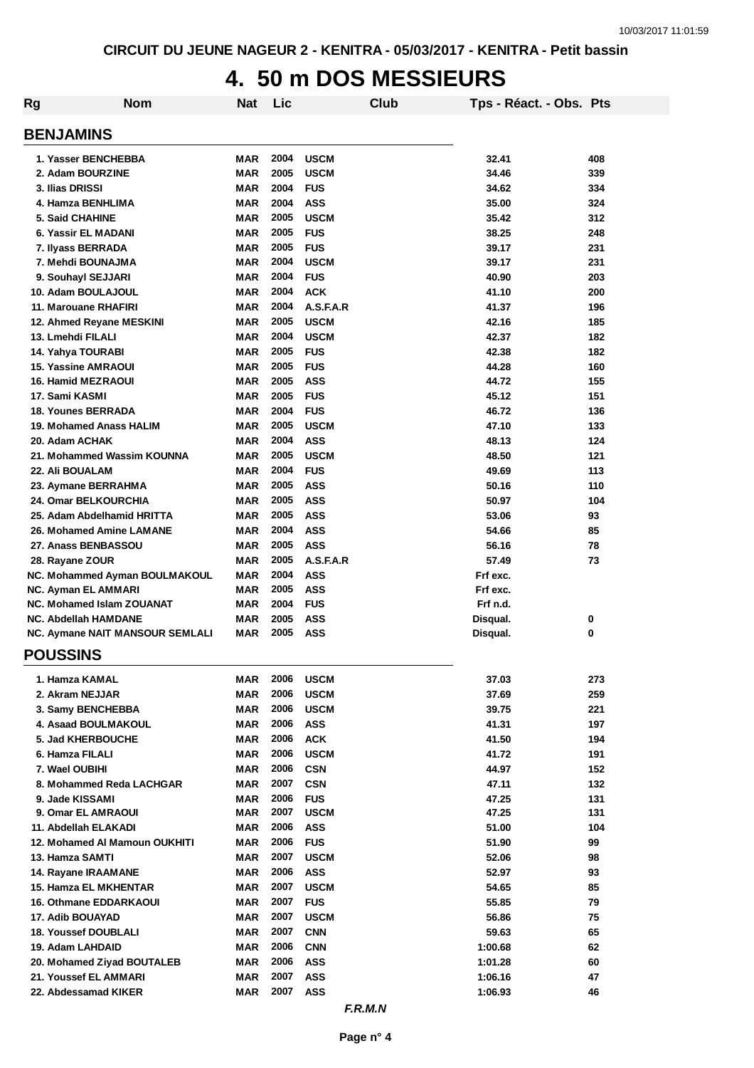# **4. 50 m DOS MESSIEURS**

| Rg                            | <b>Nom</b>                      | <b>Nat</b> | Lic  |             | <b>Club</b> | Tps - Réact. - Obs. Pts |     |
|-------------------------------|---------------------------------|------------|------|-------------|-------------|-------------------------|-----|
| <b>BENJAMINS</b>              |                                 |            |      |             |             |                         |     |
| 1. Yasser BENCHEBBA           |                                 | MAR        | 2004 | <b>USCM</b> |             | 32.41                   | 408 |
| 2. Adam BOURZINE              |                                 | <b>MAR</b> | 2005 | <b>USCM</b> |             | 34.46                   | 339 |
| 3. Ilias DRISSI               |                                 | <b>MAR</b> | 2004 | <b>FUS</b>  |             | 34.62                   | 334 |
| 4. Hamza BENHLIMA             |                                 | <b>MAR</b> | 2004 | <b>ASS</b>  |             | 35.00                   | 324 |
| <b>5. Said CHAHINE</b>        |                                 | <b>MAR</b> | 2005 | <b>USCM</b> |             | 35.42                   | 312 |
| 6. Yassir EL MADANI           |                                 | <b>MAR</b> | 2005 | <b>FUS</b>  |             | 38.25                   | 248 |
| 7. Ilyass BERRADA             |                                 | <b>MAR</b> | 2005 | <b>FUS</b>  |             | 39.17                   | 231 |
| 7. Mehdi BOUNAJMA             |                                 | <b>MAR</b> | 2004 | <b>USCM</b> |             | 39.17                   | 231 |
| 9. Souhayl SEJJARI            |                                 | MAR        | 2004 | <b>FUS</b>  |             | 40.90                   | 203 |
| 10. Adam BOULAJOUL            |                                 | <b>MAR</b> | 2004 | <b>ACK</b>  |             | 41.10                   | 200 |
| 11. Marouane RHAFIRI          |                                 | <b>MAR</b> | 2004 | A.S.F.A.R   |             | 41.37                   | 196 |
| 12. Ahmed Reyane MESKINI      |                                 | <b>MAR</b> | 2005 | <b>USCM</b> |             | 42.16                   | 185 |
| 13. Lmehdi FILALI             |                                 | <b>MAR</b> | 2004 | <b>USCM</b> |             | 42.37                   | 182 |
| 14. Yahya TOURABI             |                                 | MAR        | 2005 | <b>FUS</b>  |             | 42.38                   | 182 |
| <b>15. Yassine AMRAOUI</b>    |                                 | MAR        | 2005 | <b>FUS</b>  |             | 44.28                   | 160 |
|                               |                                 |            | 2005 |             |             |                         |     |
| <b>16. Hamid MEZRAOUI</b>     |                                 | MAR        |      | <b>ASS</b>  |             | 44.72                   | 155 |
| 17. Sami KASMI                |                                 | <b>MAR</b> | 2005 | <b>FUS</b>  |             | 45.12                   | 151 |
| <b>18. Younes BERRADA</b>     |                                 | <b>MAR</b> | 2004 | <b>FUS</b>  |             | 46.72                   | 136 |
| 19. Mohamed Anass HALIM       |                                 | MAR        | 2005 | <b>USCM</b> |             | 47.10                   | 133 |
| 20. Adam ACHAK                |                                 | <b>MAR</b> | 2004 | <b>ASS</b>  |             | 48.13                   | 124 |
| 21. Mohammed Wassim KOUNNA    |                                 | MAR        | 2005 | <b>USCM</b> |             | 48.50                   | 121 |
| 22. Ali BOUALAM               |                                 | <b>MAR</b> | 2004 | <b>FUS</b>  |             | 49.69                   | 113 |
| 23. Aymane BERRAHMA           |                                 | <b>MAR</b> | 2005 | <b>ASS</b>  |             | 50.16                   | 110 |
| 24. Omar BELKOURCHIA          |                                 | <b>MAR</b> | 2005 | <b>ASS</b>  |             | 50.97                   | 104 |
| 25. Adam Abdelhamid HRITTA    |                                 | MAR        | 2005 | <b>ASS</b>  |             | 53.06                   | 93  |
| 26. Mohamed Amine LAMANE      |                                 | <b>MAR</b> | 2004 | <b>ASS</b>  |             | 54.66                   | 85  |
| 27. Anass BENBASSOU           |                                 | MAR        | 2005 | <b>ASS</b>  |             | 56.16                   | 78  |
| 28. Rayane ZOUR               |                                 | MAR        | 2005 | A.S.F.A.R   |             | 57.49                   | 73  |
|                               | NC. Mohammed Ayman BOULMAKOUL   | <b>MAR</b> | 2004 | <b>ASS</b>  |             | Frf exc.                |     |
| NC. Ayman EL AMMARI           |                                 | MAR        | 2005 | <b>ASS</b>  |             | Frf exc.                |     |
| NC. Mohamed Islam ZOUANAT     |                                 | <b>MAR</b> | 2004 | <b>FUS</b>  |             | Frf n.d.                |     |
| <b>NC. Abdellah HAMDANE</b>   |                                 | <b>MAR</b> | 2005 | <b>ASS</b>  |             | Disqual.                | 0   |
|                               | NC. Aymane NAIT MANSOUR SEMLALI | MAR        | 2005 | <b>ASS</b>  |             | Disqual.                | 0   |
| <b>POUSSINS</b>               |                                 |            |      |             |             |                         |     |
| 1. Hamza KAMAL                |                                 | MAR        | 2006 | <b>USCM</b> |             | 37.03                   | 273 |
| 2. Akram NEJJAR               |                                 | MAR        | 2006 | <b>USCM</b> |             | 37.69                   | 259 |
| 3. Samy BENCHEBBA             |                                 | MAR        | 2006 | <b>USCM</b> |             | 39.75                   | 221 |
| 4. Asaad BOULMAKOUL           |                                 | MAR        | 2006 | <b>ASS</b>  |             | 41.31                   | 197 |
| 5. Jad KHERBOUCHE             |                                 | MAR        | 2006 | <b>ACK</b>  |             | 41.50                   | 194 |
| 6. Hamza FILALI               |                                 | MAR        | 2006 | <b>USCM</b> |             | 41.72                   | 191 |
| 7. Wael OUBIHI                |                                 | MAR        | 2006 | <b>CSN</b>  |             | 44.97                   | 152 |
| 8. Mohammed Reda LACHGAR      |                                 | <b>MAR</b> | 2007 | <b>CSN</b>  |             | 47.11                   | 132 |
| 9. Jade KISSAMI               |                                 | MAR        | 2006 | <b>FUS</b>  |             | 47.25                   | 131 |
| 9. Omar EL AMRAOUI            |                                 | MAR        | 2007 | <b>USCM</b> |             | 47.25                   | 131 |
| 11. Abdellah ELAKADI          |                                 | MAR        | 2006 | <b>ASS</b>  |             | 51.00                   | 104 |
| 12. Mohamed AI Mamoun OUKHITI |                                 | MAR        | 2006 | <b>FUS</b>  |             | 51.90                   | 99  |
| 13. Hamza SAMTI               |                                 | MAR        | 2007 | <b>USCM</b> |             | 52.06                   | 98  |
| 14. Rayane IRAAMANE           |                                 | MAR        | 2006 | <b>ASS</b>  |             | 52.97                   | 93  |
| 15. Hamza EL MKHENTAR         |                                 | MAR        | 2007 | <b>USCM</b> |             | 54.65                   | 85  |
| <b>16. Othmane EDDARKAOUI</b> |                                 | MAR        | 2007 | <b>FUS</b>  |             | 55.85                   | 79  |
|                               |                                 |            |      |             |             |                         |     |
| 17. Adib BOUAYAD              |                                 | MAR        | 2007 | <b>USCM</b> |             | 56.86                   | 75  |
| <b>18. Youssef DOUBLALI</b>   |                                 | MAR        | 2007 | <b>CNN</b>  |             | 59.63                   | 65  |
| 19. Adam LAHDAID              |                                 | MAR        | 2006 | <b>CNN</b>  |             | 1:00.68                 | 62  |
| 20. Mohamed Ziyad BOUTALEB    |                                 | MAR        | 2006 | <b>ASS</b>  |             | 1:01.28                 | 60  |
| 21. Youssef EL AMMARI         |                                 | MAR        | 2007 | <b>ASS</b>  |             | 1:06.16                 | 47  |
| 22. Abdessamad KIKER          |                                 | <b>MAR</b> | 2007 | <b>ASS</b>  |             | 1:06.93                 | 46  |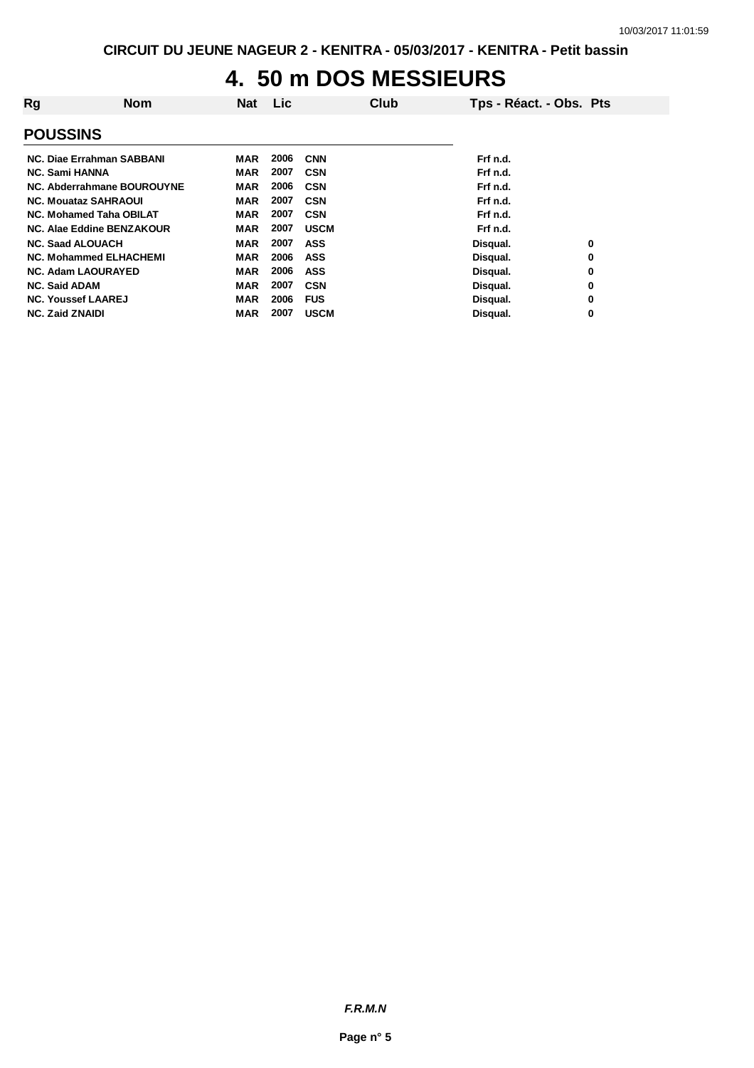# **4. 50 m DOS MESSIEURS**

| Rg                            | <b>Nom</b> | <b>Nat</b> | <b>Lic</b> |             | Club | Tps - Réact. - Obs. Pts |   |
|-------------------------------|------------|------------|------------|-------------|------|-------------------------|---|
| <b>POUSSINS</b>               |            |            |            |             |      |                         |   |
| NC. Diae Errahman SABBANI     |            | MAR        | 2006       | <b>CNN</b>  |      | Frf n.d.                |   |
| <b>NC. Sami HANNA</b>         |            | <b>MAR</b> | 2007       | <b>CSN</b>  |      | Frf n.d.                |   |
| NC. Abderrahmane BOUROUYNE    |            | <b>MAR</b> | 2006       | <b>CSN</b>  |      | Frf n.d.                |   |
| <b>NC. Mouataz SAHRAOUL</b>   |            | MAR        | 2007       | <b>CSN</b>  |      | Frf n.d.                |   |
| NC. Mohamed Taha OBILAT       |            | MAR        | 2007       | <b>CSN</b>  |      | Frf n.d.                |   |
| NC. Alae Eddine BENZAKOUR     |            | <b>MAR</b> | 2007       | <b>USCM</b> |      | Frf n.d.                |   |
| <b>NC. Saad ALOUACH</b>       |            | MAR        | 2007       | <b>ASS</b>  |      | Disqual.                | 0 |
| <b>NC. Mohammed ELHACHEMI</b> |            | MAR        | 2006       | <b>ASS</b>  |      | Disqual.                | 0 |
| <b>NC. Adam LAOURAYED</b>     |            | <b>MAR</b> | 2006       | <b>ASS</b>  |      | Disqual.                | 0 |
| <b>NC. Said ADAM</b>          |            | <b>MAR</b> | 2007       | <b>CSN</b>  |      | Disqual.                | 0 |
| <b>NC. Youssef LAAREJ</b>     |            | MAR        | 2006       | <b>FUS</b>  |      | Disqual.                | 0 |
| <b>NC. Zaid ZNAIDI</b>        |            | MAR        | 2007       | <b>USCM</b> |      | Disqual.                | 0 |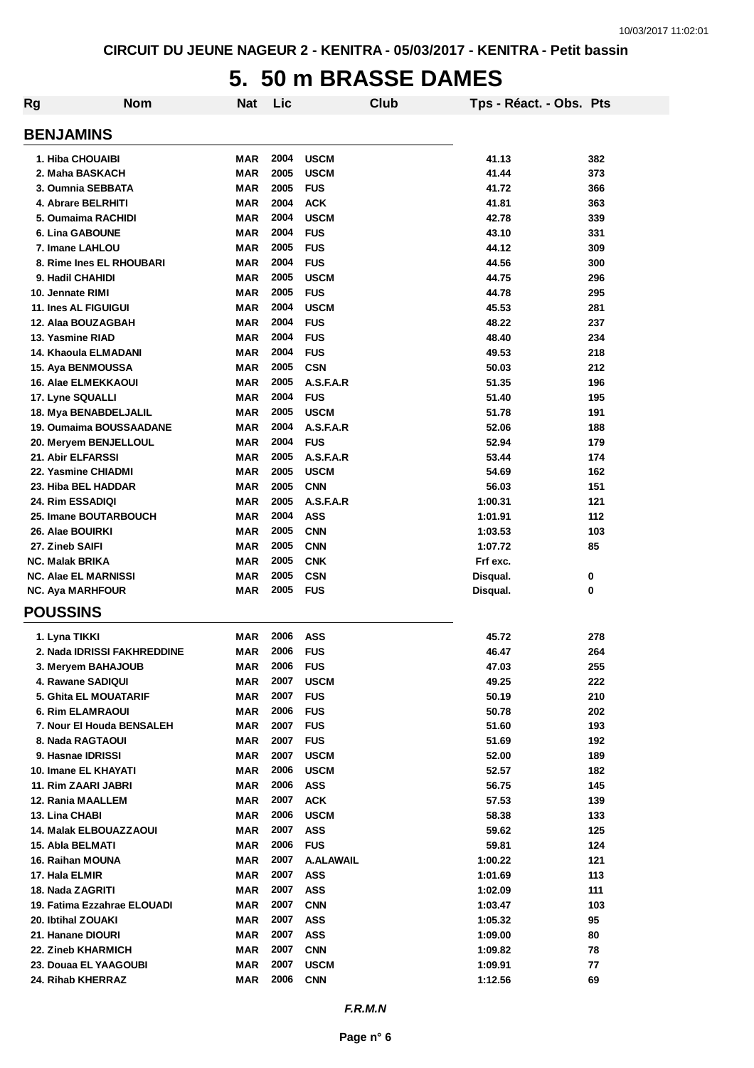# **5. 50 m BRASSE DAMES**

| Rg                           | <b>Nom</b> | <b>Nat</b> | Lic  |                  | Club | Tps - Réact. - Obs. Pts |     |
|------------------------------|------------|------------|------|------------------|------|-------------------------|-----|
| <b>BENJAMINS</b>             |            |            |      |                  |      |                         |     |
| 1. Hiba CHOUAIBI             |            | <b>MAR</b> | 2004 | <b>USCM</b>      |      | 41.13                   | 382 |
| 2. Maha BASKACH              |            | <b>MAR</b> | 2005 | <b>USCM</b>      |      | 41.44                   | 373 |
| 3. Oumnia SEBBATA            |            | <b>MAR</b> | 2005 | <b>FUS</b>       |      | 41.72                   | 366 |
| 4. Abrare BELRHITI           |            | <b>MAR</b> | 2004 | <b>ACK</b>       |      | 41.81                   | 363 |
| 5. Oumaima RACHIDI           |            | <b>MAR</b> | 2004 | <b>USCM</b>      |      | 42.78                   | 339 |
| <b>6. Lina GABOUNE</b>       |            | <b>MAR</b> | 2004 | <b>FUS</b>       |      | 43.10                   | 331 |
| 7. Imane LAHLOU              |            | <b>MAR</b> | 2005 | <b>FUS</b>       |      | 44.12                   | 309 |
| 8. Rime Ines EL RHOUBARI     |            | <b>MAR</b> | 2004 | <b>FUS</b>       |      | 44.56                   | 300 |
| 9. Hadil CHAHIDI             |            | <b>MAR</b> | 2005 | <b>USCM</b>      |      | 44.75                   | 296 |
| 10. Jennate RIMI             |            | <b>MAR</b> | 2005 | <b>FUS</b>       |      | 44.78                   | 295 |
| <b>11. Ines AL FIGUIGUI</b>  |            | <b>MAR</b> | 2004 | <b>USCM</b>      |      | 45.53                   | 281 |
| 12. Alaa BOUZAGBAH           |            | <b>MAR</b> | 2004 | <b>FUS</b>       |      | 48.22                   | 237 |
| 13. Yasmine RIAD             |            | <b>MAR</b> | 2004 | <b>FUS</b>       |      | 48.40                   | 234 |
| 14. Khaoula ELMADANI         |            | <b>MAR</b> | 2004 | <b>FUS</b>       |      | 49.53                   | 218 |
| 15. Aya BENMOUSSA            |            | <b>MAR</b> | 2005 | <b>CSN</b>       |      | 50.03                   | 212 |
| <b>16. Alae ELMEKKAOUI</b>   |            | <b>MAR</b> | 2005 | A.S.F.A.R        |      | 51.35                   | 196 |
| 17. Lyne SQUALLI             |            | <b>MAR</b> | 2004 | <b>FUS</b>       |      | 51.40                   | 195 |
| 18. Mya BENABDELJALIL        |            | <b>MAR</b> | 2005 | <b>USCM</b>      |      | 51.78                   | 191 |
| 19. Oumaima BOUSSAADANE      |            | <b>MAR</b> | 2004 | A.S.F.A.R        |      | 52.06                   | 188 |
| 20. Meryem BENJELLOUL        |            | <b>MAR</b> | 2004 | <b>FUS</b>       |      | 52.94                   | 179 |
| 21. Abir ELFARSSI            |            | <b>MAR</b> | 2005 | A.S.F.A.R        |      | 53.44                   | 174 |
| 22. Yasmine CHIADMI          |            | <b>MAR</b> | 2005 | <b>USCM</b>      |      | 54.69                   | 162 |
| 23. Hiba BEL HADDAR          |            | <b>MAR</b> | 2005 | <b>CNN</b>       |      | 56.03                   | 151 |
| 24. Rim ESSADIQI             |            | <b>MAR</b> | 2005 | A.S.F.A.R        |      | 1:00.31                 | 121 |
| 25. Imane BOUTARBOUCH        |            | <b>MAR</b> | 2004 | <b>ASS</b>       |      | 1:01.91                 | 112 |
| 26. Alae BOUIRKI             |            | <b>MAR</b> | 2005 | <b>CNN</b>       |      | 1:03.53                 | 103 |
| 27. Zineb SAIFI              |            | <b>MAR</b> | 2005 | <b>CNN</b>       |      | 1:07.72                 | 85  |
| <b>NC. Malak BRIKA</b>       |            | <b>MAR</b> | 2005 | <b>CNK</b>       |      | Frf exc.                |     |
| <b>NC. Alae EL MARNISSI</b>  |            | <b>MAR</b> | 2005 | <b>CSN</b>       |      | Disqual.                | 0   |
| <b>NC. Aya MARHFOUR</b>      |            | <b>MAR</b> | 2005 | <b>FUS</b>       |      | Disqual.                | 0   |
| <b>POUSSINS</b>              |            |            |      |                  |      |                         |     |
| 1. Lyna TIKKI                |            | <b>MAR</b> | 2006 | <b>ASS</b>       |      | 45.72                   | 278 |
| 2. Nada IDRISSI FAKHREDDINE  |            | <b>MAR</b> | 2006 | <b>FUS</b>       |      | 46.47                   | 264 |
| 3. Meryem BAHAJOUB           |            | MAR        | 2006 | <b>FUS</b>       |      | 47.03                   | 255 |
| 4. Rawane SADIQUI            |            | <b>MAR</b> | 2007 | <b>USCM</b>      |      | 49.25                   | 222 |
| <b>5. Ghita EL MOUATARIF</b> |            | <b>MAR</b> | 2007 | <b>FUS</b>       |      | 50.19                   | 210 |
| <b>6. Rim ELAMRAOUI</b>      |            | <b>MAR</b> | 2006 | <b>FUS</b>       |      | 50.78                   | 202 |
| 7. Nour El Houda BENSALEH    |            | <b>MAR</b> | 2007 | <b>FUS</b>       |      | 51.60                   | 193 |
| 8. Nada RAGTAOUI             |            | <b>MAR</b> | 2007 | <b>FUS</b>       |      | 51.69                   | 192 |
| 9. Hasnae IDRISSI            |            | <b>MAR</b> | 2007 | <b>USCM</b>      |      | 52.00                   | 189 |
| 10. Imane EL KHAYATI         |            | <b>MAR</b> | 2006 | <b>USCM</b>      |      | 52.57                   | 182 |
| 11. Rim ZAARI JABRI          |            | <b>MAR</b> | 2006 | <b>ASS</b>       |      | 56.75                   | 145 |
| 12. Rania MAALLEM            |            | <b>MAR</b> | 2007 | <b>ACK</b>       |      | 57.53                   | 139 |
| 13. Lina CHABI               |            | <b>MAR</b> | 2006 | <b>USCM</b>      |      | 58.38                   | 133 |
| 14. Malak ELBOUAZZAOUI       |            | <b>MAR</b> | 2007 | <b>ASS</b>       |      | 59.62                   | 125 |
| 15. Abla BELMATI             |            | <b>MAR</b> | 2006 | <b>FUS</b>       |      | 59.81                   | 124 |
| 16. Raihan MOUNA             |            | <b>MAR</b> | 2007 | <b>A.ALAWAIL</b> |      | 1:00.22                 | 121 |
| 17. Hala ELMIR               |            | MAR        | 2007 | <b>ASS</b>       |      | 1:01.69                 | 113 |
| 18. Nada ZAGRITI             |            | <b>MAR</b> | 2007 | <b>ASS</b>       |      | 1:02.09                 | 111 |
| 19. Fatima Ezzahrae ELOUADI  |            | <b>MAR</b> | 2007 | <b>CNN</b>       |      | 1:03.47                 | 103 |
| 20. Ibtihal ZOUAKI           |            | <b>MAR</b> | 2007 | <b>ASS</b>       |      | 1:05.32                 | 95  |
| 21. Hanane DIOURI            |            | <b>MAR</b> | 2007 | <b>ASS</b>       |      | 1:09.00                 | 80  |
| 22. Zineb KHARMICH           |            | <b>MAR</b> | 2007 | <b>CNN</b>       |      | 1:09.82                 | 78  |
| 23. Douaa EL YAAGOUBI        |            | <b>MAR</b> | 2007 | <b>USCM</b>      |      | 1:09.91                 | 77  |
| 24. Rihab KHERRAZ            |            | <b>MAR</b> | 2006 | <b>CNN</b>       |      | 1:12.56                 | 69  |
|                              |            |            |      |                  |      |                         |     |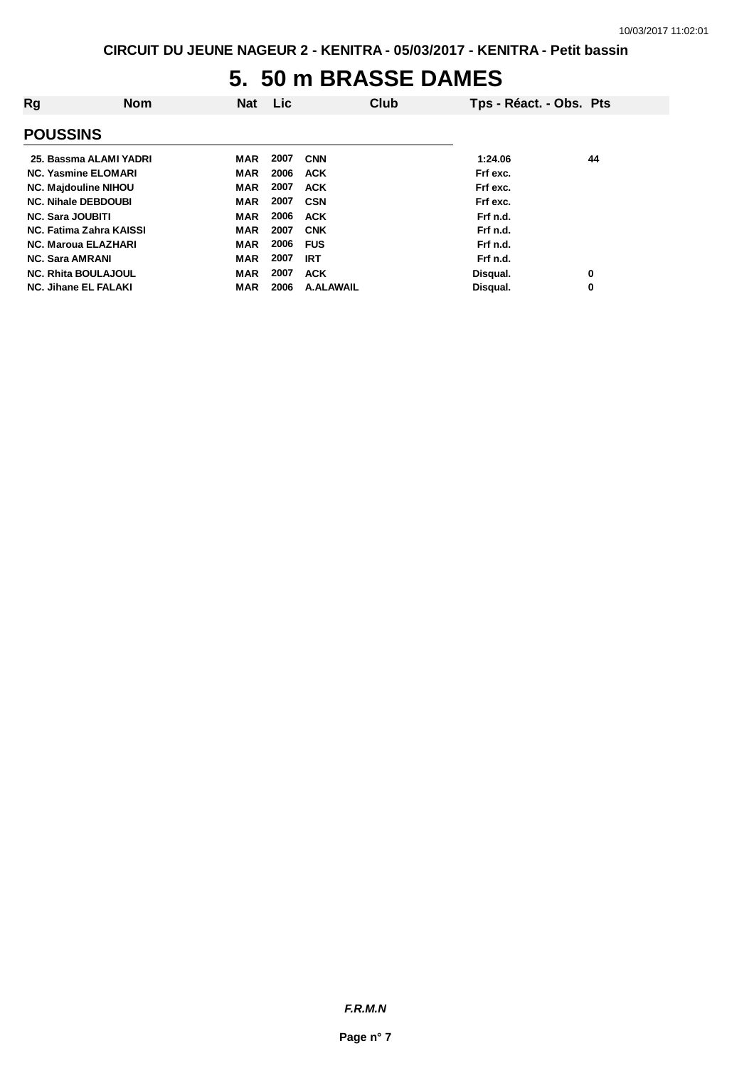# **5. 50 m BRASSE DAMES**

| Rg                          | <b>Nom</b> | <b>Nat</b> | Lic. | Club       | Tps - Réact. - Obs. Pts |    |
|-----------------------------|------------|------------|------|------------|-------------------------|----|
| <b>POUSSINS</b>             |            |            |      |            |                         |    |
| 25. Bassma ALAMI YADRI      |            | MAR        | 2007 | <b>CNN</b> | 1:24.06                 | 44 |
| <b>NC. Yasmine ELOMARI</b>  |            | <b>MAR</b> | 2006 | <b>ACK</b> | Frf exc.                |    |
| <b>NC. Majdouline NIHOU</b> |            | <b>MAR</b> | 2007 | <b>ACK</b> | Frf exc.                |    |
| <b>NC. Nihale DEBDOUBI</b>  |            | <b>MAR</b> | 2007 | <b>CSN</b> | Frf exc.                |    |
| <b>NC. Sara JOUBITI</b>     |            | <b>MAR</b> | 2006 | <b>ACK</b> | Frf n.d.                |    |
| NC. Fatima Zahra KAISSI     |            | <b>MAR</b> | 2007 | <b>CNK</b> | Frf n.d.                |    |
| <b>NC. Maroua ELAZHARI</b>  |            | <b>MAR</b> | 2006 | <b>FUS</b> | Frf n.d.                |    |
| <b>NC. Sara AMRANI</b>      |            | <b>MAR</b> | 2007 | <b>IRT</b> | Frf n.d.                |    |
| <b>NC. Rhita BOULAJOUL</b>  |            | <b>MAR</b> | 2007 | <b>ACK</b> | Disqual.                | 0  |
| <b>NC. Jihane EL FALAKI</b> |            | MAR        | 2006 | A ALAWAIL  | Disqual.                | 0  |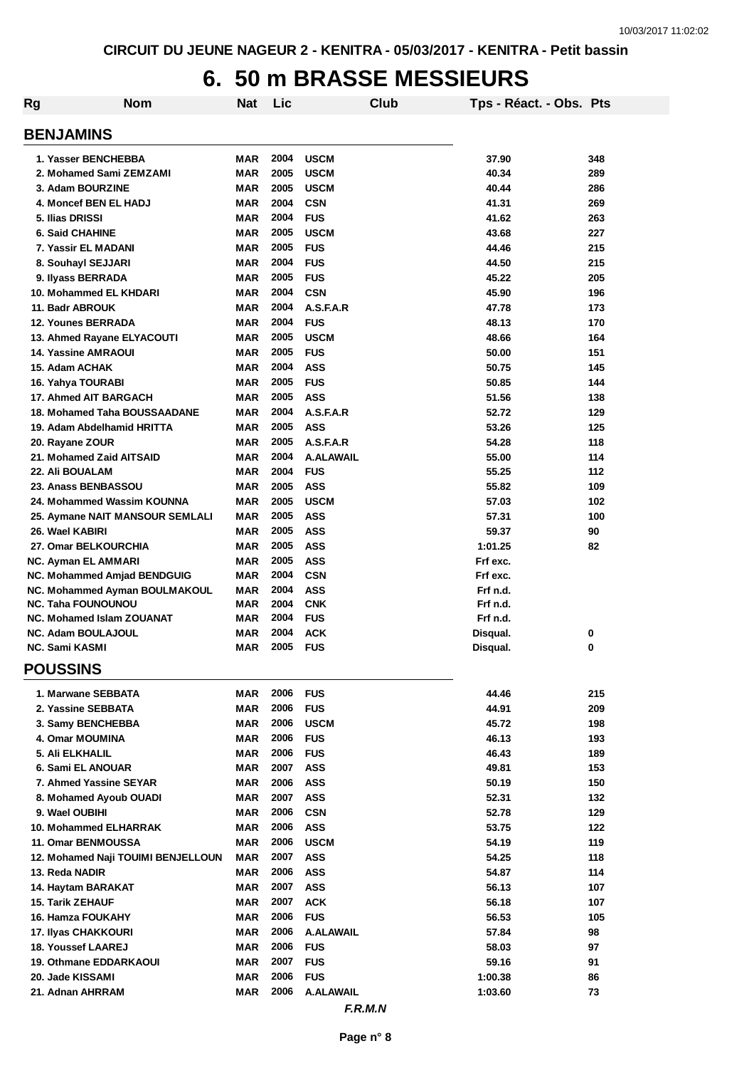# **6. 50 m BRASSE MESSIEURS**

| Rg                               | <b>Nom</b>                         | Nat        | Lic  |                  | Club | Tps - Réact. - Obs. Pts |     |
|----------------------------------|------------------------------------|------------|------|------------------|------|-------------------------|-----|
| <b>BENJAMINS</b>                 |                                    |            |      |                  |      |                         |     |
| 1. Yasser BENCHEBBA              |                                    | MAR        | 2004 | <b>USCM</b>      |      | 37.90                   | 348 |
| 2. Mohamed Sami ZEMZAMI          |                                    | <b>MAR</b> | 2005 | <b>USCM</b>      |      | 40.34                   | 289 |
| 3. Adam BOURZINE                 |                                    | <b>MAR</b> | 2005 | <b>USCM</b>      |      | 40.44                   | 286 |
| 4. Moncef BEN EL HADJ            |                                    | <b>MAR</b> | 2004 | <b>CSN</b>       |      | 41.31                   | 269 |
| 5. Ilias DRISSI                  |                                    | <b>MAR</b> | 2004 | <b>FUS</b>       |      | 41.62                   | 263 |
| <b>6. Said CHAHINE</b>           |                                    | <b>MAR</b> | 2005 | <b>USCM</b>      |      | 43.68                   | 227 |
| 7. Yassir EL MADANI              |                                    | <b>MAR</b> | 2005 | <b>FUS</b>       |      | 44.46                   | 215 |
| 8. Souhayl SEJJARI               |                                    | <b>MAR</b> | 2004 | <b>FUS</b>       |      | 44.50                   | 215 |
| 9. Ilyass BERRADA                |                                    | <b>MAR</b> | 2005 | <b>FUS</b>       |      | 45.22                   | 205 |
| 10. Mohammed EL KHDARI           |                                    | <b>MAR</b> | 2004 | <b>CSN</b>       |      | 45.90                   | 196 |
| 11. Badr ABROUK                  |                                    | <b>MAR</b> | 2004 | A.S.F.A.R        |      | 47.78                   | 173 |
| <b>12. Younes BERRADA</b>        |                                    | <b>MAR</b> | 2004 | <b>FUS</b>       |      | 48.13                   | 170 |
| 13. Ahmed Rayane ELYACOUTI       |                                    | <b>MAR</b> | 2005 | <b>USCM</b>      |      | 48.66                   | 164 |
| <b>14. Yassine AMRAOUI</b>       |                                    | <b>MAR</b> | 2005 | <b>FUS</b>       |      | 50.00                   | 151 |
| 15. Adam ACHAK                   |                                    | <b>MAR</b> | 2004 | <b>ASS</b>       |      | 50.75                   | 145 |
| 16. Yahya TOURABI                |                                    | <b>MAR</b> | 2005 | <b>FUS</b>       |      | 50.85                   | 144 |
| 17. Ahmed AIT BARGACH            |                                    | <b>MAR</b> | 2005 | <b>ASS</b>       |      | 51.56                   | 138 |
| 18. Mohamed Taha BOUSSAADANE     |                                    | <b>MAR</b> | 2004 | A.S.F.A.R        |      | 52.72                   | 129 |
| 19. Adam Abdelhamid HRITTA       |                                    | <b>MAR</b> | 2005 | <b>ASS</b>       |      | 53.26                   | 125 |
| 20. Rayane ZOUR                  |                                    | MAR        | 2005 | A.S.F.A.R        |      | 54.28                   | 118 |
| 21. Mohamed Zaid AITSAID         |                                    | <b>MAR</b> | 2004 | <b>A.ALAWAIL</b> |      | 55.00                   | 114 |
| 22. Ali BOUALAM                  |                                    | <b>MAR</b> | 2004 | <b>FUS</b>       |      | 55.25                   | 112 |
| 23. Anass BENBASSOU              |                                    | <b>MAR</b> | 2005 | <b>ASS</b>       |      | 55.82                   | 109 |
| 24. Mohammed Wassim KOUNNA       |                                    | <b>MAR</b> | 2005 | <b>USCM</b>      |      | 57.03                   | 102 |
|                                  | 25. Aymane NAIT MANSOUR SEMLALI    | <b>MAR</b> | 2005 | <b>ASS</b>       |      | 57.31                   | 100 |
| 26. Wael KABIRI                  |                                    | <b>MAR</b> | 2005 | <b>ASS</b>       |      | 59.37                   | 90  |
| 27. Omar BELKOURCHIA             |                                    | <b>MAR</b> | 2005 | <b>ASS</b>       |      | 1:01.25                 | 82  |
| NC. Ayman EL AMMARI              |                                    | <b>MAR</b> | 2005 | <b>ASS</b>       |      | Frf exc.                |     |
| NC. Mohammed Amjad BENDGUIG      |                                    | <b>MAR</b> | 2004 | <b>CSN</b>       |      | Frf exc.                |     |
|                                  | NC. Mohammed Ayman BOULMAKOUL      | <b>MAR</b> | 2004 | <b>ASS</b>       |      | Frf n.d.                |     |
| <b>NC. Taha FOUNOUNOU</b>        |                                    | <b>MAR</b> | 2004 | <b>CNK</b>       |      | Frf n.d.                |     |
| <b>NC. Mohamed Islam ZOUANAT</b> |                                    | <b>MAR</b> | 2004 | <b>FUS</b>       |      | Frf n.d.                |     |
| <b>NC. Adam BOULAJOUL</b>        |                                    | <b>MAR</b> | 2004 | <b>ACK</b>       |      | Disqual.                | 0   |
| <b>NC. Sami KASMI</b>            |                                    | <b>MAR</b> | 2005 | <b>FUS</b>       |      | Disqual.                | 0   |
| <b>POUSSINS</b>                  |                                    |            |      |                  |      |                         |     |
| 1. Marwane SEBBATA               |                                    | <b>MAR</b> | 2006 | <b>FUS</b>       |      | 44.46                   | 215 |
| 2. Yassine SEBBATA               |                                    | <b>MAR</b> | 2006 | <b>FUS</b>       |      | 44.91                   | 209 |
| 3. Samy BENCHEBBA                |                                    | <b>MAR</b> | 2006 | <b>USCM</b>      |      | 45.72                   | 198 |
| 4. Omar MOUMINA                  |                                    | MAR        | 2006 | <b>FUS</b>       |      | 46.13                   | 193 |
| 5. Ali ELKHALIL                  |                                    | <b>MAR</b> | 2006 | <b>FUS</b>       |      | 46.43                   | 189 |
| 6. Sami EL ANOUAR                |                                    | <b>MAR</b> | 2007 | <b>ASS</b>       |      | 49.81                   | 153 |
| 7. Ahmed Yassine SEYAR           |                                    | <b>MAR</b> | 2006 | <b>ASS</b>       |      | 50.19                   | 150 |
| 8. Mohamed Ayoub OUADI           |                                    | <b>MAR</b> | 2007 | <b>ASS</b>       |      | 52.31                   | 132 |
| 9. Wael OUBIHI                   |                                    | MAR        | 2006 | <b>CSN</b>       |      | 52.78                   | 129 |
| 10. Mohammed ELHARRAK            |                                    | <b>MAR</b> | 2006 | <b>ASS</b>       |      | 53.75                   | 122 |
| 11. Omar BENMOUSSA               |                                    | <b>MAR</b> | 2006 | <b>USCM</b>      |      | 54.19                   | 119 |
|                                  | 12. Mohamed Naji TOUIMI BENJELLOUN | MAR        | 2007 | <b>ASS</b>       |      | 54.25                   | 118 |
| 13. Reda NADIR                   |                                    | <b>MAR</b> | 2006 | <b>ASS</b>       |      | 54.87                   | 114 |
| 14. Haytam BARAKAT               |                                    | <b>MAR</b> | 2007 | <b>ASS</b>       |      | 56.13                   | 107 |
| <b>15. Tarik ZEHAUF</b>          |                                    | <b>MAR</b> | 2007 | <b>ACK</b>       |      | 56.18                   | 107 |
| 16. Hamza FOUKAHY                |                                    | <b>MAR</b> | 2006 | <b>FUS</b>       |      | 56.53                   | 105 |
| 17. Ilyas CHAKKOURI              |                                    | <b>MAR</b> | 2006 | A.ALAWAIL        |      | 57.84                   | 98  |
| <b>18. Youssef LAAREJ</b>        |                                    | <b>MAR</b> | 2006 | <b>FUS</b>       |      | 58.03                   | 97  |
| 19. Othmane EDDARKAOUI           |                                    | <b>MAR</b> | 2007 | <b>FUS</b>       |      | 59.16                   | 91  |
| 20. Jade KISSAMI                 |                                    | <b>MAR</b> | 2006 | <b>FUS</b>       |      | 1:00.38                 | 86  |
| 21. Adnan AHRRAM                 |                                    | <b>MAR</b> | 2006 | <b>A.ALAWAIL</b> |      | 1:03.60                 | 73  |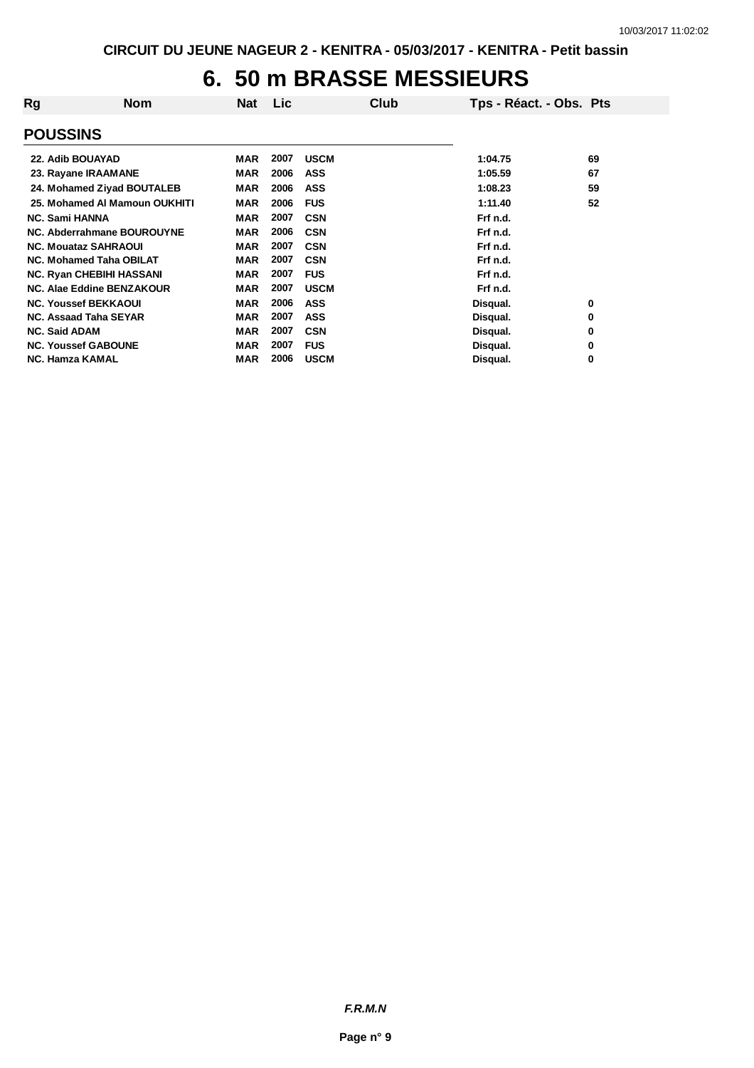# **6. 50 m BRASSE MESSIEURS**

| Rg                              | <b>Nom</b> | Nat        | Lic. |             | Club | Tps - Réact. - Obs. Pts |    |
|---------------------------------|------------|------------|------|-------------|------|-------------------------|----|
| <b>POUSSINS</b>                 |            |            |      |             |      |                         |    |
| 22. Adib BOUAYAD                |            | MAR        | 2007 | <b>USCM</b> |      | 1:04.75                 | 69 |
| 23. Rayane IRAAMANE             |            | <b>MAR</b> | 2006 | <b>ASS</b>  |      | 1:05.59                 | 67 |
| 24. Mohamed Ziyad BOUTALEB      |            | MAR        | 2006 | ASS         |      | 1:08.23                 | 59 |
| 25. Mohamed AI Mamoun OUKHITI   |            | <b>MAR</b> | 2006 | <b>FUS</b>  |      | 1:11.40                 | 52 |
| <b>NC. Sami HANNA</b>           |            | <b>MAR</b> | 2007 | <b>CSN</b>  |      | Frf n.d.                |    |
| NC. Abderrahmane BOUROUYNE      |            | <b>MAR</b> | 2006 | <b>CSN</b>  |      | Frf n.d.                |    |
| <b>NC. Mouataz SAHRAOUI</b>     |            | <b>MAR</b> | 2007 | <b>CSN</b>  |      | Frf n.d.                |    |
| <b>NC. Mohamed Taha OBILAT</b>  |            | <b>MAR</b> | 2007 | <b>CSN</b>  |      | Frf n.d.                |    |
| <b>NC. Ryan CHEBIHI HASSANI</b> |            | <b>MAR</b> | 2007 | <b>FUS</b>  |      | Frf n.d.                |    |
| NC. Alae Eddine BENZAKOUR       |            | <b>MAR</b> | 2007 | <b>USCM</b> |      | Frf n.d.                |    |
| <b>NC. Youssef BEKKAOUI</b>     |            | <b>MAR</b> | 2006 | <b>ASS</b>  |      | Disqual.                | 0  |
| <b>NC. Assaad Taha SEYAR</b>    |            | <b>MAR</b> | 2007 | <b>ASS</b>  |      | Disqual.                | 0  |
| <b>NC. Said ADAM</b>            |            | <b>MAR</b> | 2007 | <b>CSN</b>  |      | Disqual.                | 0  |
| <b>NC. Youssef GABOUNE</b>      |            | <b>MAR</b> | 2007 | <b>FUS</b>  |      | Disqual.                | 0  |
| <b>NC. Hamza KAMAL</b>          |            | <b>MAR</b> | 2006 | <b>USCM</b> |      | Disqual.                | 0  |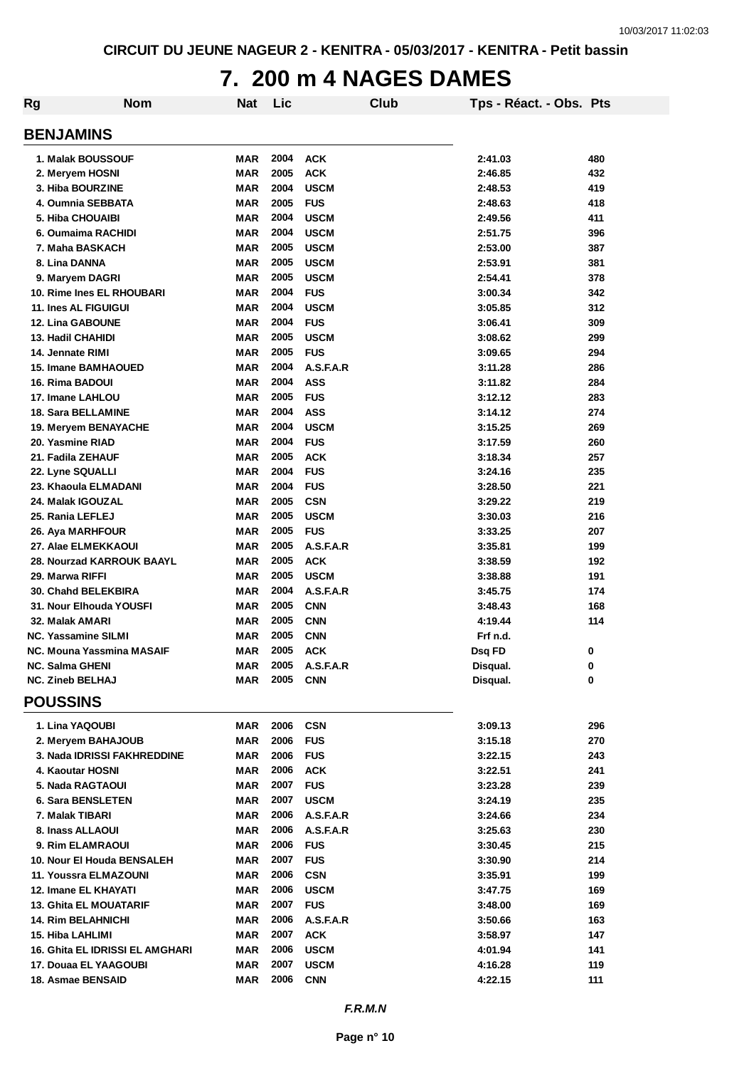# **7. 200 m 4 NAGES DAMES**

| Rg                              | <b>Nom</b> | <b>Nat</b> | Lic  |             | Club | Tps - Réact. - Obs. Pts |     |
|---------------------------------|------------|------------|------|-------------|------|-------------------------|-----|
| <b>BENJAMINS</b>                |            |            |      |             |      |                         |     |
| 1. Malak BOUSSOUF               |            | <b>MAR</b> | 2004 | <b>ACK</b>  |      | 2:41.03                 | 480 |
| 2. Meryem HOSNI                 |            | <b>MAR</b> | 2005 | <b>ACK</b>  |      | 2:46.85                 | 432 |
| 3. Hiba BOURZINE                |            | <b>MAR</b> | 2004 | <b>USCM</b> |      | 2:48.53                 | 419 |
| 4. Oumnia SEBBATA               |            | <b>MAR</b> | 2005 | <b>FUS</b>  |      | 2:48.63                 | 418 |
| 5. Hiba CHOUAIBI                |            | <b>MAR</b> | 2004 | <b>USCM</b> |      | 2:49.56                 | 411 |
| 6. Oumaima RACHIDI              |            | <b>MAR</b> | 2004 | <b>USCM</b> |      | 2:51.75                 | 396 |
| 7. Maha BASKACH                 |            | <b>MAR</b> | 2005 | <b>USCM</b> |      | 2:53.00                 | 387 |
| 8. Lina DANNA                   |            | <b>MAR</b> | 2005 | <b>USCM</b> |      | 2:53.91                 | 381 |
| 9. Maryem DAGRI                 |            | <b>MAR</b> | 2005 | <b>USCM</b> |      | 2:54.41                 | 378 |
| 10. Rime Ines EL RHOUBARI       |            | <b>MAR</b> | 2004 | <b>FUS</b>  |      | 3:00.34                 | 342 |
| <b>11. Ines AL FIGUIGUI</b>     |            | <b>MAR</b> | 2004 | <b>USCM</b> |      | 3:05.85                 | 312 |
| <b>12. Lina GABOUNE</b>         |            | <b>MAR</b> | 2004 | <b>FUS</b>  |      | 3:06.41                 | 309 |
| 13. Hadil CHAHIDI               |            | <b>MAR</b> | 2005 | <b>USCM</b> |      | 3:08.62                 | 299 |
| 14. Jennate RIMI                |            | <b>MAR</b> | 2005 | <b>FUS</b>  |      | 3:09.65                 | 294 |
| <b>15. Imane BAMHAOUED</b>      |            | <b>MAR</b> | 2004 | A.S.F.A.R   |      | 3:11.28                 | 286 |
| 16. Rima BADOUI                 |            | <b>MAR</b> | 2004 | <b>ASS</b>  |      | 3:11.82                 | 284 |
| 17. Imane LAHLOU                |            | <b>MAR</b> | 2005 | <b>FUS</b>  |      | 3:12.12                 | 283 |
| 18. Sara BELLAMINE              |            | <b>MAR</b> | 2004 | <b>ASS</b>  |      | 3:14.12                 | 274 |
| 19. Meryem BENAYACHE            |            | <b>MAR</b> | 2004 | <b>USCM</b> |      | 3:15.25                 | 269 |
| 20. Yasmine RIAD                |            | <b>MAR</b> | 2004 | <b>FUS</b>  |      | 3:17.59                 | 260 |
| 21. Fadila ZEHAUF               |            | <b>MAR</b> | 2005 | <b>ACK</b>  |      | 3:18.34                 | 257 |
| <b>22. Lyne SQUALLI</b>         |            | <b>MAR</b> | 2004 | <b>FUS</b>  |      | 3:24.16                 | 235 |
| 23. Khaoula ELMADANI            |            | <b>MAR</b> | 2004 | <b>FUS</b>  |      | 3:28.50                 | 221 |
| 24. Malak IGOUZAL               |            | <b>MAR</b> | 2005 | <b>CSN</b>  |      | 3:29.22                 | 219 |
| 25. Rania LEFLEJ                |            | <b>MAR</b> | 2005 | <b>USCM</b> |      | 3:30.03                 | 216 |
| 26. Aya MARHFOUR                |            | <b>MAR</b> | 2005 | <b>FUS</b>  |      | 3:33.25                 | 207 |
| 27. Alae ELMEKKAOUI             |            | <b>MAR</b> | 2005 | A.S.F.A.R   |      | 3:35.81                 | 199 |
| 28. Nourzad KARROUK BAAYL       |            | <b>MAR</b> | 2005 | <b>ACK</b>  |      | 3:38.59                 | 192 |
| 29. Marwa RIFFI                 |            | <b>MAR</b> | 2005 | <b>USCM</b> |      | 3:38.88                 | 191 |
| 30. Chahd BELEKBIRA             |            | <b>MAR</b> | 2004 | A.S.F.A.R   |      | 3:45.75                 | 174 |
| 31. Nour Elhouda YOUSFI         |            | <b>MAR</b> | 2005 | <b>CNN</b>  |      | 3:48.43                 | 168 |
| 32. Malak AMARI                 |            | <b>MAR</b> | 2005 | <b>CNN</b>  |      | 4:19.44                 | 114 |
| <b>NC. Yassamine SILMI</b>      |            | <b>MAR</b> | 2005 | <b>CNN</b>  |      | Frf n.d.                |     |
| NC. Mouna Yassmina MASAIF       |            | <b>MAR</b> | 2005 | <b>ACK</b>  |      | Dsq FD                  | 0   |
| <b>NC. Salma GHENI</b>          |            | MAR        | 2005 | A.S.F.A.R   |      | Disqual.                | 0   |
| <b>NC. Zineb BELHAJ</b>         |            | MAR        | 2005 | <b>CNN</b>  |      | Disqual.                | 0   |
| <b>POUSSINS</b>                 |            |            |      |             |      |                         |     |
| 1. Lina YAQOUBI                 |            | <b>MAR</b> | 2006 | <b>CSN</b>  |      | 3:09.13                 | 296 |
| 2. Meryem BAHAJOUB              |            | <b>MAR</b> | 2006 | <b>FUS</b>  |      | 3:15.18                 | 270 |
| 3. Nada IDRISSI FAKHREDDINE     |            | <b>MAR</b> | 2006 | <b>FUS</b>  |      | 3:22.15                 | 243 |
| 4. Kaoutar HOSNI                |            | <b>MAR</b> | 2006 | <b>ACK</b>  |      | 3:22.51                 | 241 |
| 5. Nada RAGTAOUI                |            | <b>MAR</b> | 2007 | <b>FUS</b>  |      | 3:23.28                 | 239 |
| <b>6. Sara BENSLETEN</b>        |            | <b>MAR</b> | 2007 | <b>USCM</b> |      | 3:24.19                 | 235 |
| 7. Malak TIBARI                 |            | <b>MAR</b> | 2006 | A.S.F.A.R   |      | 3:24.66                 | 234 |
| 8. Inass ALLAOUI                |            | <b>MAR</b> | 2006 | A.S.F.A.R   |      | 3:25.63                 | 230 |
| 9. Rim ELAMRAOUI                |            | <b>MAR</b> | 2006 | <b>FUS</b>  |      | 3:30.45                 | 215 |
| 10. Nour El Houda BENSALEH      |            | <b>MAR</b> | 2007 | <b>FUS</b>  |      | 3:30.90                 | 214 |
| 11. Youssra ELMAZOUNI           |            | MAR        | 2006 | <b>CSN</b>  |      | 3:35.91                 | 199 |
| 12. Imane EL KHAYATI            |            | MAR        | 2006 | <b>USCM</b> |      | 3:47.75                 | 169 |
| <b>13. Ghita EL MOUATARIF</b>   |            | <b>MAR</b> | 2007 | <b>FUS</b>  |      | 3:48.00                 | 169 |
| <b>14. Rim BELAHNICHI</b>       |            | <b>MAR</b> | 2006 | A.S.F.A.R   |      | 3:50.66                 | 163 |
| 15. Hiba LAHLIMI                |            | <b>MAR</b> | 2007 | <b>ACK</b>  |      | 3:58.97                 | 147 |
| 16. Ghita EL IDRISSI EL AMGHARI |            | MAR        | 2006 | <b>USCM</b> |      | 4:01.94                 | 141 |
| 17. Douaa EL YAAGOUBI           |            | MAR        | 2007 | <b>USCM</b> |      | 4:16.28                 | 119 |
| 18. Asmae BENSAID               |            | <b>MAR</b> | 2006 | <b>CNN</b>  |      | 4:22.15                 | 111 |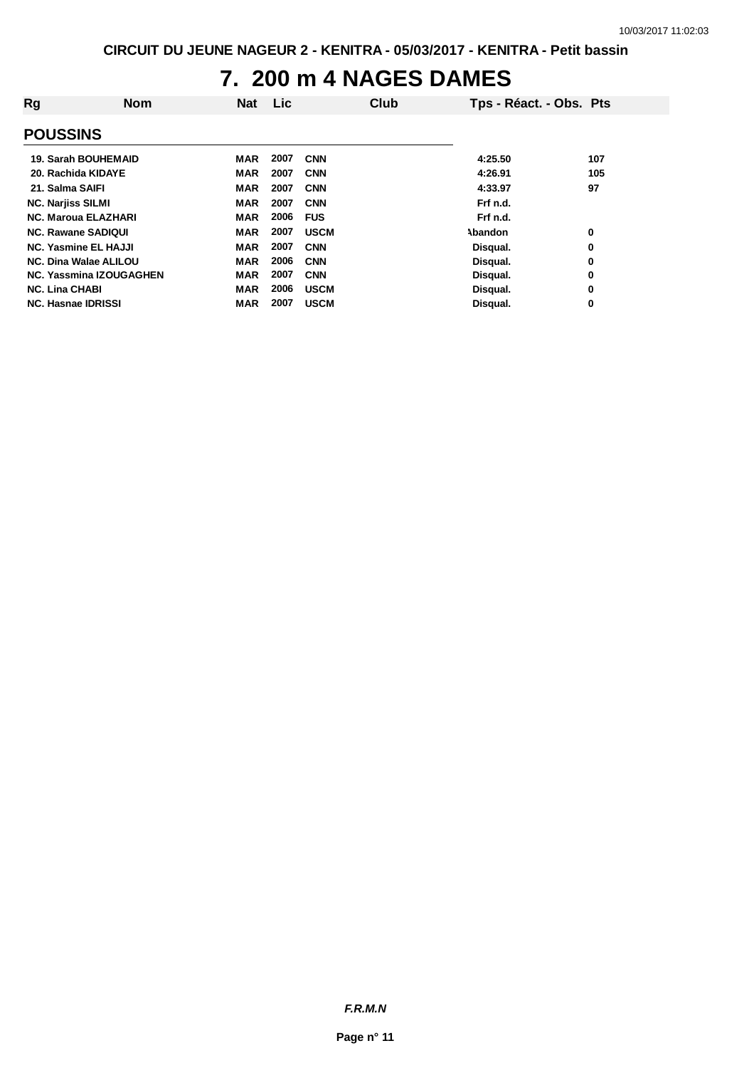# **7. 200 m 4 NAGES DAMES**

| Rg                          | <b>Nom</b>                     | Nat        | Lic  |             | Club | Tps - Réact. - Obs. Pts |     |
|-----------------------------|--------------------------------|------------|------|-------------|------|-------------------------|-----|
| <b>POUSSINS</b>             |                                |            |      |             |      |                         |     |
| 19. Sarah BOUHEMAID         |                                | MAR        | 2007 | <b>CNN</b>  |      | 4:25.50                 | 107 |
| 20. Rachida KIDAYE          |                                | MAR        | 2007 | <b>CNN</b>  |      | 4:26.91                 | 105 |
| 21. Salma SAIFI             |                                | MAR        | 2007 | <b>CNN</b>  |      | 4:33.97                 | 97  |
| <b>NC. Narjiss SILMI</b>    |                                | <b>MAR</b> | 2007 | <b>CNN</b>  |      | Frf n.d.                |     |
| <b>NC. Maroua ELAZHARI</b>  |                                | <b>MAR</b> | 2006 | <b>FUS</b>  |      | Frf n.d.                |     |
| <b>NC. Rawane SADIQUI</b>   |                                | <b>MAR</b> | 2007 | <b>USCM</b> |      | Abandon                 | 0   |
| <b>NC. Yasmine EL HAJJI</b> |                                | <b>MAR</b> | 2007 | <b>CNN</b>  |      | Disqual.                | 0   |
| NC. Dina Walae ALILOU       |                                | <b>MAR</b> | 2006 | <b>CNN</b>  |      | Disqual.                | 0   |
|                             | <b>NC. Yassmina IZOUGAGHEN</b> | <b>MAR</b> | 2007 | <b>CNN</b>  |      | Disqual.                | 0   |
| <b>NC. Lina CHABI</b>       |                                | <b>MAR</b> | 2006 | <b>USCM</b> |      | Disqual.                | 0   |
| NC. Hasnae IDRISSI          |                                | MAR        | 2007 | <b>USCM</b> |      | Disqual.                | 0   |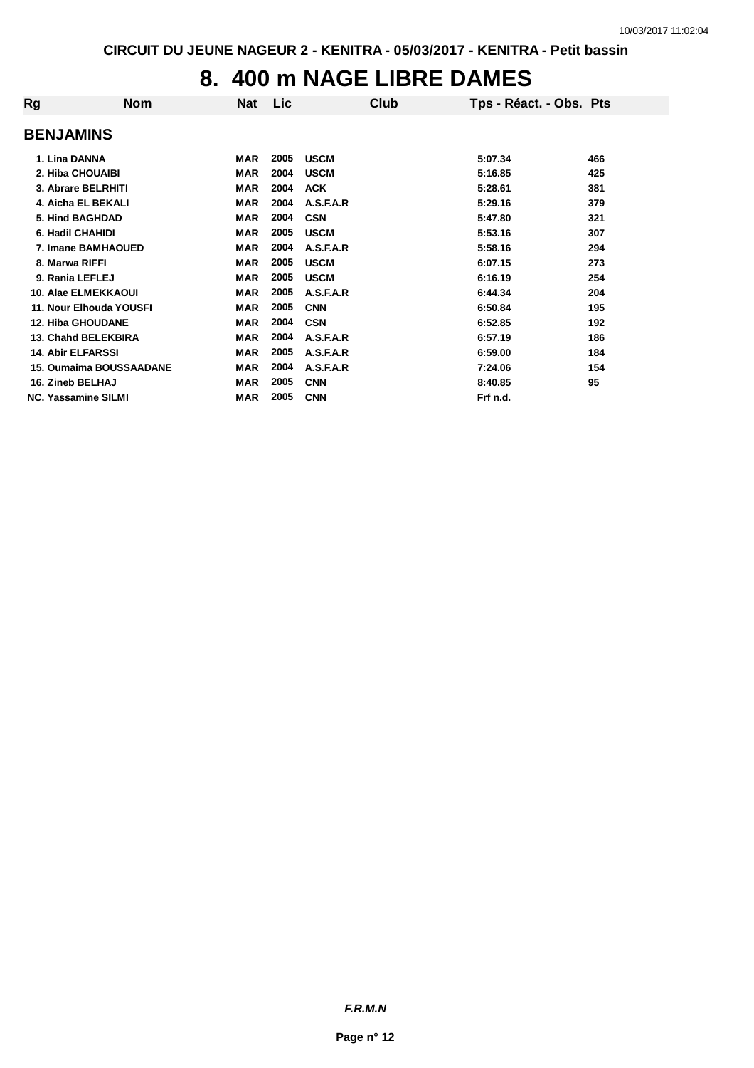# **8. 400 m NAGE LIBRE DAMES**

| Rg                         | <b>Nom</b>                     | <b>Nat</b> | Lic  | Club        | Tps - Réact. - Obs. Pts |     |
|----------------------------|--------------------------------|------------|------|-------------|-------------------------|-----|
| <b>BENJAMINS</b>           |                                |            |      |             |                         |     |
| 1. Lina DANNA              |                                | MAR        | 2005 | <b>USCM</b> | 5:07.34                 | 466 |
| 2. Hiba CHOUAIBI           |                                | <b>MAR</b> | 2004 | <b>USCM</b> | 5:16.85                 | 425 |
|                            | 3. Abrare BELRHITI             | <b>MAR</b> | 2004 | <b>ACK</b>  | 5:28.61                 | 381 |
|                            | 4. Aicha EL BEKALI             | <b>MAR</b> | 2004 | A.S.F.A.R   | 5:29.16                 | 379 |
| 5. Hind BAGHDAD            |                                | <b>MAR</b> | 2004 | <b>CSN</b>  | 5:47.80                 | 321 |
| 6. Hadil CHAHIDI           |                                | <b>MAR</b> | 2005 | <b>USCM</b> | 5:53.16                 | 307 |
|                            | 7. Imane BAMHAOUED             | <b>MAR</b> | 2004 | A.S.F.A.R   | 5:58.16                 | 294 |
| 8. Marwa RIFFI             |                                | <b>MAR</b> | 2005 | <b>USCM</b> | 6:07.15                 | 273 |
| 9. Rania LEFLEJ            |                                | <b>MAR</b> | 2005 | <b>USCM</b> | 6:16.19                 | 254 |
|                            | <b>10. Alae ELMEKKAOUI</b>     | <b>MAR</b> | 2005 | A.S.F.A.R   | 6:44.34                 | 204 |
|                            | 11. Nour Elhouda YOUSFI        | <b>MAR</b> | 2005 | <b>CNN</b>  | 6:50.84                 | 195 |
| <b>12. Hiba GHOUDANE</b>   |                                | <b>MAR</b> | 2004 | <b>CSN</b>  | 6:52.85                 | 192 |
|                            | <b>13. Chahd BELEKBIRA</b>     | <b>MAR</b> | 2004 | A.S.F.A.R   | 6:57.19                 | 186 |
| <b>14. Abir ELFARSSI</b>   |                                | <b>MAR</b> | 2005 | A.S.F.A.R   | 6:59.00                 | 184 |
|                            | <b>15. Oumaima BOUSSAADANE</b> | <b>MAR</b> | 2004 | A.S.F.A.R   | 7:24.06                 | 154 |
| 16. Zineb BELHAJ           |                                | <b>MAR</b> | 2005 | <b>CNN</b>  | 8:40.85                 | 95  |
| <b>NC. Yassamine SILMI</b> |                                | <b>MAR</b> | 2005 | <b>CNN</b>  | Frf n.d.                |     |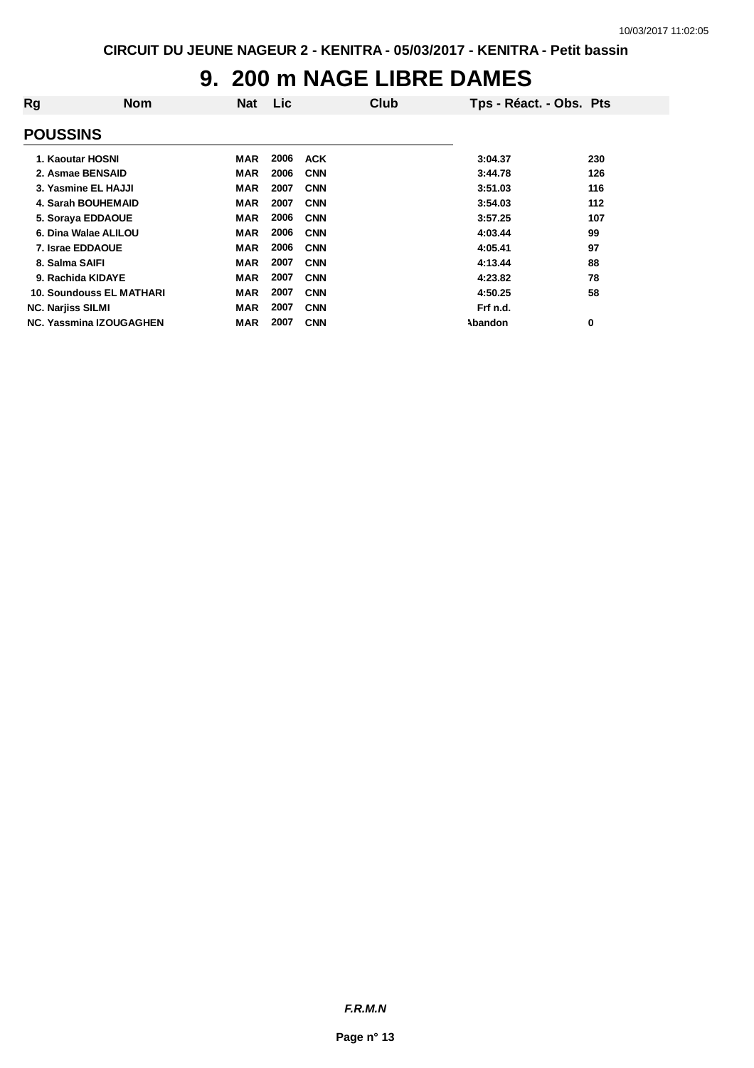# **9. 200 m NAGE LIBRE DAMES**

| Rg              | <b>Nom</b>                      | <b>Nat</b> | <b>Lic</b> | Club       | Tps - Réact. - Obs. Pts |     |
|-----------------|---------------------------------|------------|------------|------------|-------------------------|-----|
| <b>POUSSINS</b> |                                 |            |            |            |                         |     |
|                 | 1. Kaoutar HOSNI                | MAR        | 2006       | <b>ACK</b> | 3:04.37                 | 230 |
|                 | 2. Asmae BENSAID                | <b>MAR</b> | 2006       | <b>CNN</b> | 3:44.78                 | 126 |
|                 | 3. Yasmine EL HAJJI             | <b>MAR</b> | 2007       | <b>CNN</b> | 3:51.03                 | 116 |
|                 | 4. Sarah BOUHEMAID              | <b>MAR</b> | 2007       | <b>CNN</b> | 3:54.03                 | 112 |
|                 | 5. Soraya EDDAOUE               | <b>MAR</b> | 2006       | <b>CNN</b> | 3:57.25                 | 107 |
|                 | 6. Dina Walae ALILOU            | <b>MAR</b> | 2006       | <b>CNN</b> | 4:03.44                 | 99  |
|                 | 7. Israe EDDAOUE                | <b>MAR</b> | 2006       | <b>CNN</b> | 4:05.41                 | 97  |
|                 | 8. Salma SAIFI                  | <b>MAR</b> | 2007       | <b>CNN</b> | 4:13.44                 | 88  |
|                 | 9. Rachida KIDAYE               | <b>MAR</b> | 2007       | <b>CNN</b> | 4:23.82                 | 78  |
|                 | <b>10. Soundouss EL MATHARI</b> | <b>MAR</b> | 2007       | <b>CNN</b> | 4:50.25                 | 58  |
|                 | <b>NC. Narjiss SILMI</b>        | <b>MAR</b> | 2007       | <b>CNN</b> | Frf n.d.                |     |
|                 | <b>NC. Yassmina IZOUGAGHEN</b>  | <b>MAR</b> | 2007       | <b>CNN</b> | <b>Abandon</b>          | 0   |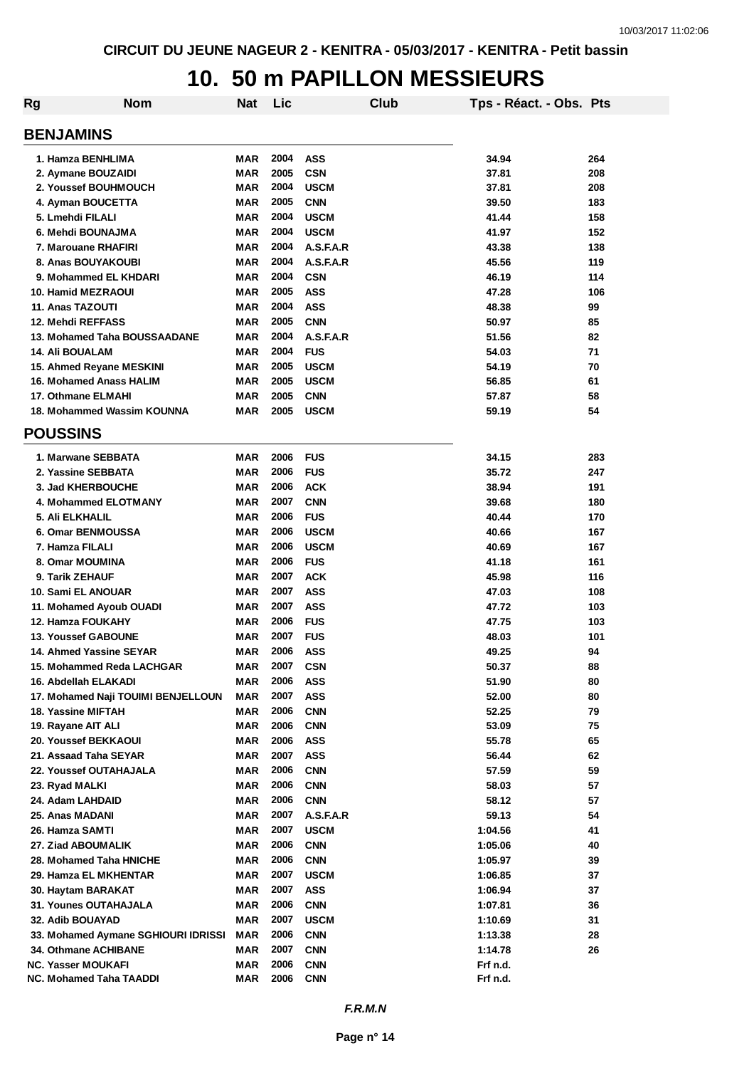#### **10. 50 m PAPILLON MESSIEURS**

| Rg | <b>Nom</b>                          | Nat        | Lic  |             | Club | Tps - Réact. - Obs. Pts |     |
|----|-------------------------------------|------------|------|-------------|------|-------------------------|-----|
|    | <b>BENJAMINS</b>                    |            |      |             |      |                         |     |
|    | 1. Hamza BENHLIMA                   | MAR        | 2004 | <b>ASS</b>  |      | 34.94                   | 264 |
|    | 2. Aymane BOUZAIDI                  | MAR        | 2005 | <b>CSN</b>  |      | 37.81                   | 208 |
|    | 2. Youssef BOUHMOUCH                | <b>MAR</b> | 2004 | <b>USCM</b> |      | 37.81                   | 208 |
|    | 4. Ayman BOUCETTA                   | <b>MAR</b> | 2005 | <b>CNN</b>  |      | 39.50                   | 183 |
|    | 5. Lmehdi FILALI                    | <b>MAR</b> | 2004 | <b>USCM</b> |      | 41.44                   | 158 |
|    | 6. Mehdi BOUNAJMA                   | <b>MAR</b> | 2004 | <b>USCM</b> |      | 41.97                   | 152 |
|    | 7. Marouane RHAFIRI                 | <b>MAR</b> | 2004 | A.S.F.A.R   |      | 43.38                   | 138 |
|    | 8. Anas BOUYAKOUBI                  | <b>MAR</b> | 2004 | A.S.F.A.R   |      | 45.56                   | 119 |
|    | 9. Mohammed EL KHDARI               | <b>MAR</b> | 2004 | <b>CSN</b>  |      | 46.19                   | 114 |
|    | <b>10. Hamid MEZRAOUI</b>           | <b>MAR</b> | 2005 | <b>ASS</b>  |      | 47.28                   | 106 |
|    | 11. Anas TAZOUTI                    | <b>MAR</b> | 2004 | <b>ASS</b>  |      | 48.38                   | 99  |
|    | 12. Mehdi REFFASS                   | <b>MAR</b> | 2005 | <b>CNN</b>  |      | 50.97                   | 85  |
|    | 13. Mohamed Taha BOUSSAADANE        | <b>MAR</b> | 2004 | A.S.F.A.R   |      | 51.56                   | 82  |
|    | <b>14. Ali BOUALAM</b>              | <b>MAR</b> | 2004 | <b>FUS</b>  |      | 54.03                   | 71  |
|    | 15. Ahmed Reyane MESKINI            | <b>MAR</b> | 2005 | <b>USCM</b> |      | 54.19                   | 70  |
|    | <b>16. Mohamed Anass HALIM</b>      | <b>MAR</b> | 2005 | <b>USCM</b> |      | 56.85                   | 61  |
|    | 17. Othmane ELMAHI                  | MAR        | 2005 | <b>CNN</b>  |      | 57.87                   | 58  |
|    | 18. Mohammed Wassim KOUNNA          | <b>MAR</b> | 2005 | <b>USCM</b> |      | 59.19                   | 54  |
|    | <b>POUSSINS</b>                     |            |      |             |      |                         |     |
|    | 1. Marwane SEBBATA                  | MAR        | 2006 | <b>FUS</b>  |      | 34.15                   | 283 |
|    | 2. Yassine SEBBATA                  | MAR        | 2006 | <b>FUS</b>  |      | 35.72                   | 247 |
|    | 3. Jad KHERBOUCHE                   | MAR        | 2006 | <b>ACK</b>  |      | 38.94                   | 191 |
|    | 4. Mohammed ELOTMANY                | MAR        | 2007 | <b>CNN</b>  |      | 39.68                   | 180 |
|    | 5. Ali ELKHALIL                     | MAR        | 2006 | <b>FUS</b>  |      | 40.44                   | 170 |
|    | 6. Omar BENMOUSSA                   | <b>MAR</b> | 2006 | <b>USCM</b> |      | 40.66                   | 167 |
|    | 7. Hamza FILALI                     | MAR        | 2006 | <b>USCM</b> |      | 40.69                   | 167 |
|    | 8. Omar MOUMINA                     | MAR        | 2006 | <b>FUS</b>  |      | 41.18                   | 161 |
|    | 9. Tarik ZEHAUF                     | MAR        | 2007 | <b>ACK</b>  |      | 45.98                   | 116 |
|    | 10. Sami EL ANOUAR                  | <b>MAR</b> | 2007 | <b>ASS</b>  |      | 47.03                   | 108 |
|    | 11. Mohamed Ayoub OUADI             | <b>MAR</b> | 2007 | <b>ASS</b>  |      | 47.72                   | 103 |
|    | <b>12. Hamza FOUKAHY</b>            | <b>MAR</b> | 2006 | <b>FUS</b>  |      | 47.75                   | 103 |
|    | <b>13. Youssef GABOUNE</b>          | <b>MAR</b> | 2007 | <b>FUS</b>  |      | 48.03                   | 101 |
|    | 14. Ahmed Yassine SEYAR             | <b>MAR</b> | 2006 | <b>ASS</b>  |      | 49.25                   | 94  |
|    | 15. Mohammed Reda LACHGAR           | MAR        | 2007 | <b>CSN</b>  |      | 50.37                   | 88  |
|    | 16. Abdellah ELAKADI                | <b>MAR</b> | 2006 | <b>ASS</b>  |      | 51.90                   | 80  |
|    | 17. Mohamed Naji TOUIMI BENJELLOUN  | <b>MAR</b> | 2007 | <b>ASS</b>  |      | 52.00                   | 80  |
|    | 18. Yassine MIFTAH                  | <b>MAR</b> | 2006 | <b>CNN</b>  |      | 52.25                   | 79  |
|    | 19. Rayane AIT ALI                  | <b>MAR</b> | 2006 | <b>CNN</b>  |      | 53.09                   | 75  |
|    | 20. Youssef BEKKAOUI                | MAR        | 2006 | <b>ASS</b>  |      | 55.78                   | 65  |
|    | 21. Assaad Taha SEYAR               | MAR        | 2007 | <b>ASS</b>  |      | 56.44                   | 62  |
|    | <b>22. Youssef OUTAHAJALA</b>       | MAR        | 2006 | <b>CNN</b>  |      | 57.59                   | 59  |
|    | 23. Ryad MALKI                      | <b>MAR</b> | 2006 | <b>CNN</b>  |      | 58.03                   | 57  |
|    | 24. Adam LAHDAID                    | <b>MAR</b> | 2006 | <b>CNN</b>  |      | 58.12                   | 57  |
|    | 25. Anas MADANI                     | <b>MAR</b> | 2007 | A.S.F.A.R   |      | 59.13                   | 54  |
|    | 26. Hamza SAMTI                     | <b>MAR</b> | 2007 | <b>USCM</b> |      | 1:04.56                 | 41  |
|    | 27. Ziad ABOUMALIK                  | <b>MAR</b> | 2006 | <b>CNN</b>  |      | 1:05.06                 | 40  |
|    | 28. Mohamed Taha HNICHE             | MAR        | 2006 | <b>CNN</b>  |      | 1:05.97                 | 39  |
|    | 29. Hamza EL MKHENTAR               | MAR        | 2007 | <b>USCM</b> |      | 1:06.85                 | 37  |
|    | 30. Haytam BARAKAT                  | MAR        | 2007 | <b>ASS</b>  |      | 1:06.94                 | 37  |
|    | <b>31. Younes OUTAHAJALA</b>        | MAR        | 2006 | <b>CNN</b>  |      | 1:07.81                 | 36  |
|    | 32. Adib BOUAYAD                    | <b>MAR</b> | 2007 | <b>USCM</b> |      | 1:10.69                 | 31  |
|    | 33. Mohamed Aymane SGHIOURI IDRISSI | MAR        | 2006 | <b>CNN</b>  |      | 1:13.38                 | 28  |
|    | 34. Othmane ACHIBANE                | MAR        | 2007 | <b>CNN</b>  |      | 1:14.78                 | 26  |
|    | <b>NC. Yasser MOUKAFI</b>           | MAR        | 2006 | <b>CNN</b>  |      | Frf n.d.                |     |
|    | NC. Mohamed Taha TAADDI             | MAR        | 2006 | <b>CNN</b>  |      | Frf n.d.                |     |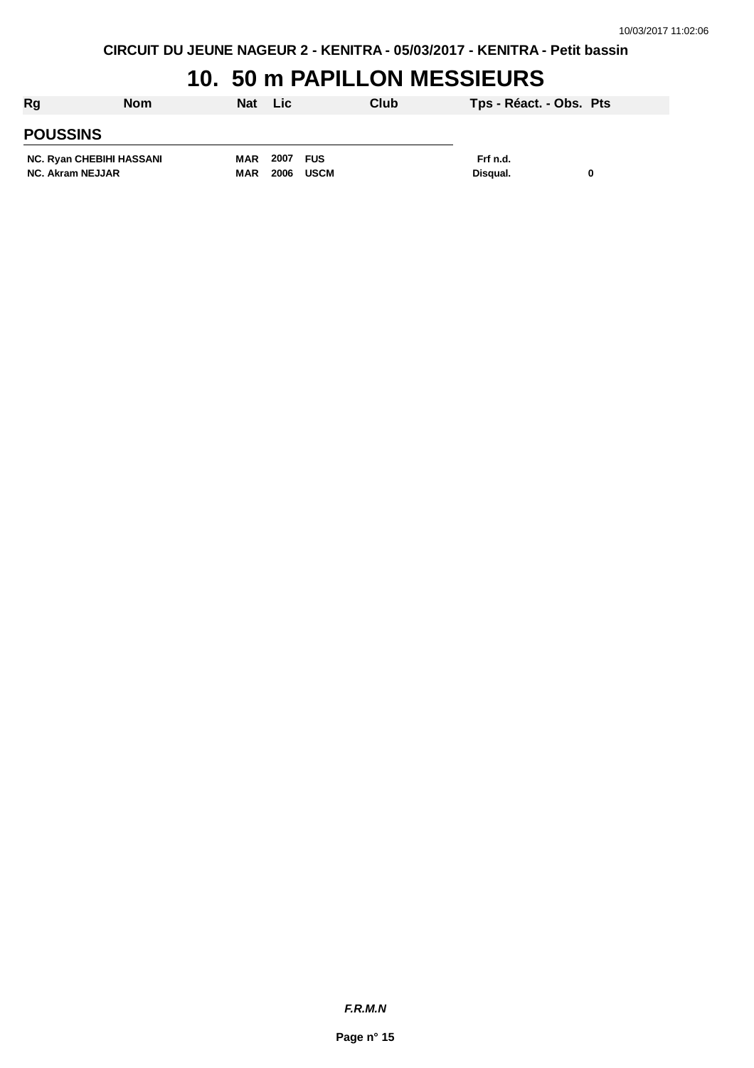# **10. 50 m PAPILLON MESSIEURS**

| Rg                       | <b>Nom</b> | <b>Nat</b> | Lic.     |             | Club | Tps - Réact. - Obs. Pts |  |
|--------------------------|------------|------------|----------|-------------|------|-------------------------|--|
| <b>POUSSINS</b>          |            |            |          |             |      |                         |  |
| NC. Ryan CHEBIHI HASSANI |            | MAR        | 2007 FUS |             |      | Frf n.d.                |  |
| <b>NC. Akram NEJJAR</b>  |            | MAR        | 2006     | <b>USCM</b> |      | Disqual.                |  |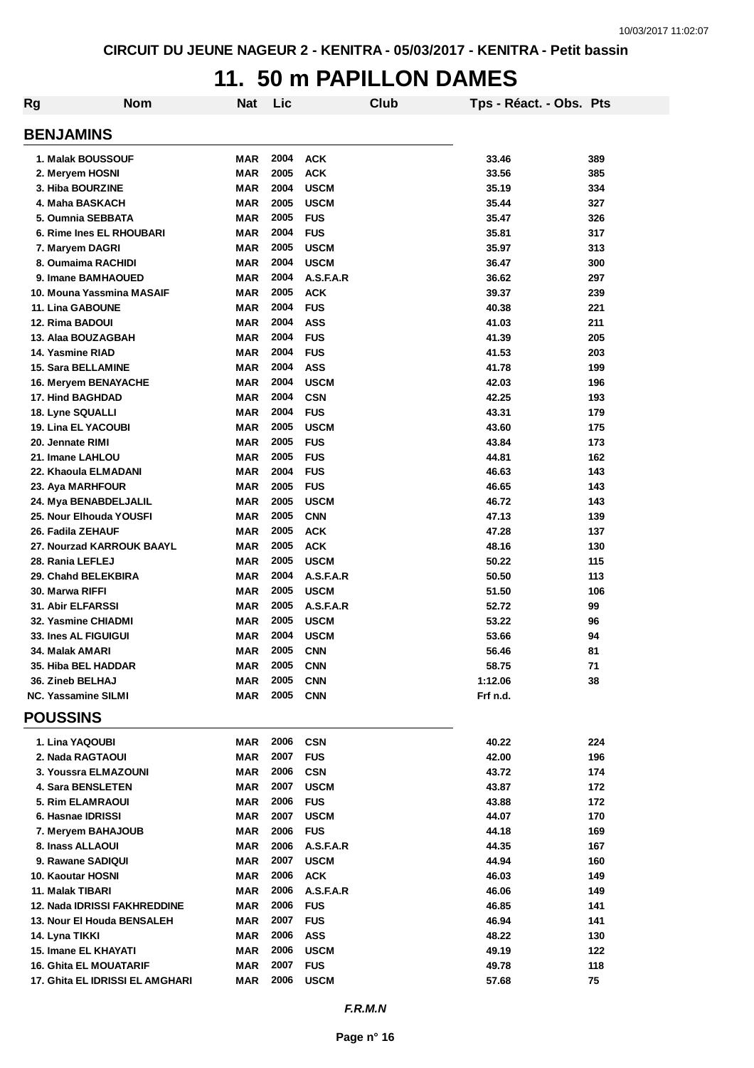#### **11. 50 m PAPILLON DAMES**

| Rg                                            | <b>Nom</b> | <b>Nat</b>        | Lic          | Club                     | Tps - Réact. - Obs. Pts |            |
|-----------------------------------------------|------------|-------------------|--------------|--------------------------|-------------------------|------------|
| <b>BENJAMINS</b>                              |            |                   |              |                          |                         |            |
| 1. Malak BOUSSOUF                             |            | MAR               | 2004         | <b>ACK</b>               | 33.46                   | 389        |
| 2. Meryem HOSNI                               |            | <b>MAR</b>        | 2005         | <b>ACK</b>               | 33.56                   | 385        |
| 3. Hiba BOURZINE                              |            | <b>MAR</b>        | 2004         | <b>USCM</b>              | 35.19                   | 334        |
| 4. Maha BASKACH                               |            | <b>MAR</b>        | 2005         | <b>USCM</b>              | 35.44                   | 327        |
| 5. Oumnia SEBBATA                             |            | MAR               | 2005         | <b>FUS</b>               | 35.47                   | 326        |
| 6. Rime Ines EL RHOUBARI                      |            | MAR               | 2004         | <b>FUS</b>               | 35.81                   | 317        |
| 7. Maryem DAGRI                               |            | MAR               | 2005         | <b>USCM</b>              | 35.97                   | 313        |
| 8. Oumaima RACHIDI                            |            | <b>MAR</b>        | 2004         | <b>USCM</b>              | 36.47                   | 300        |
| 9. Imane BAMHAOUED                            |            | MAR               | 2004<br>2005 | A.S.F.A.R                | 36.62                   | 297        |
| 10. Mouna Yassmina MASAIF<br>11. Lina GABOUNE |            | MAR<br>MAR        | 2004         | <b>ACK</b><br><b>FUS</b> | 39.37<br>40.38          | 239<br>221 |
| 12. Rima BADOUI                               |            | <b>MAR</b>        | 2004         | <b>ASS</b>               | 41.03                   | 211        |
| 13. Alaa BOUZAGBAH                            |            | <b>MAR</b>        | 2004         | <b>FUS</b>               | 41.39                   | 205        |
| 14. Yasmine RIAD                              |            | <b>MAR</b>        | 2004         | <b>FUS</b>               | 41.53                   | 203        |
| 15. Sara BELLAMINE                            |            | <b>MAR</b>        | 2004         | <b>ASS</b>               | 41.78                   | 199        |
| 16. Meryem BENAYACHE                          |            | <b>MAR</b>        | 2004         | <b>USCM</b>              | 42.03                   | 196        |
| <b>17. Hind BAGHDAD</b>                       |            | <b>MAR</b>        | 2004         | <b>CSN</b>               | 42.25                   | 193        |
| <b>18. Lyne SQUALLI</b>                       |            | <b>MAR</b>        | 2004         | <b>FUS</b>               | 43.31                   | 179        |
| <b>19. Lina EL YACOUBI</b>                    |            | <b>MAR</b>        | 2005         | <b>USCM</b>              | 43.60                   | 175        |
| 20. Jennate RIMI                              |            | <b>MAR</b>        | 2005         | <b>FUS</b>               | 43.84                   | 173        |
| 21. Imane LAHLOU                              |            | <b>MAR</b>        | 2005         | <b>FUS</b>               | 44.81                   | 162        |
| 22. Khaoula ELMADANI                          |            | <b>MAR</b>        | 2004         | <b>FUS</b>               | 46.63                   | 143        |
| 23. Aya MARHFOUR                              |            | <b>MAR</b>        | 2005         | <b>FUS</b>               | 46.65                   | 143        |
| 24. Mya BENABDELJALIL                         |            | <b>MAR</b>        | 2005         | <b>USCM</b>              | 46.72                   | 143        |
| 25. Nour Elhouda YOUSFI                       |            | <b>MAR</b>        | 2005         | <b>CNN</b>               | 47.13                   | 139        |
| 26. Fadila ZEHAUF                             |            | <b>MAR</b>        | 2005         | <b>ACK</b>               | 47.28                   | 137        |
| 27. Nourzad KARROUK BAAYL                     |            | <b>MAR</b>        | 2005         | <b>ACK</b>               | 48.16                   | 130        |
| 28. Rania LEFLEJ                              |            | <b>MAR</b>        | 2005<br>2004 | <b>USCM</b>              | 50.22                   | 115        |
| 29. Chahd BELEKBIRA<br>30. Marwa RIFFI        |            | <b>MAR</b><br>MAR | 2005         | A.S.F.A.R<br><b>USCM</b> | 50.50<br>51.50          | 113<br>106 |
| 31. Abir ELFARSSI                             |            | <b>MAR</b>        | 2005         | A.S.F.A.R                | 52.72                   | 99         |
| 32. Yasmine CHIADMI                           |            | <b>MAR</b>        | 2005         | <b>USCM</b>              | 53.22                   | 96         |
| <b>33. Ines AL FIGUIGUI</b>                   |            | <b>MAR</b>        | 2004         | <b>USCM</b>              | 53.66                   | 94         |
| 34. Malak AMARI                               |            | <b>MAR</b>        | 2005         | <b>CNN</b>               | 56.46                   | 81         |
| 35. Hiba BEL HADDAR                           |            | <b>MAR</b>        | 2005         | <b>CNN</b>               | 58.75                   | $71$       |
| 36. Zineb BELHAJ                              |            | MAR               | 2005         | <b>CNN</b>               | 1:12.06                 | 38         |
| <b>NC. Yassamine SILMI</b>                    |            | MAR               | 2005         | <b>CNN</b>               | Frf n.d.                |            |
| <b>POUSSINS</b>                               |            |                   |              |                          |                         |            |
| 1. Lina YAQOUBI                               |            | MAR               | 2006         | <b>CSN</b>               | 40.22                   | 224        |
| 2. Nada RAGTAOUI                              |            | MAR               | 2007         | <b>FUS</b>               | 42.00                   | 196        |
| 3. Youssra ELMAZOUNI                          |            | MAR               | 2006         | <b>CSN</b>               | 43.72                   | 174        |
| 4. Sara BENSLETEN                             |            | <b>MAR</b>        | 2007         | <b>USCM</b>              | 43.87                   | 172        |
| <b>5. Rim ELAMRAOUI</b>                       |            | MAR               | 2006         | <b>FUS</b>               | 43.88                   | 172        |
| 6. Hasnae IDRISSI                             |            | <b>MAR</b>        | 2007         | <b>USCM</b>              | 44.07                   | 170        |
| 7. Meryem BAHAJOUB                            |            | MAR               | 2006         | <b>FUS</b>               | 44.18                   | 169        |
| 8. Inass ALLAOUI                              |            | <b>MAR</b>        | 2006         | A.S.F.A.R                | 44.35                   | 167        |
| 9. Rawane SADIQUI                             |            | MAR               | 2007         | <b>USCM</b>              | 44.94                   | 160        |
| 10. Kaoutar HOSNI                             |            | MAR               | 2006         | <b>ACK</b>               | 46.03                   | 149        |
| 11. Malak TIBARI                              |            | MAR               | 2006         | A.S.F.A.R                | 46.06                   | 149        |
| 12. Nada IDRISSI FAKHREDDINE                  |            | MAR               | 2006         | <b>FUS</b>               | 46.85                   | 141        |
| 13. Nour El Houda BENSALEH                    |            | MAR               | 2007         | <b>FUS</b>               | 46.94                   | 141        |
| 14. Lyna TIKKI                                |            | MAR               | 2006         | <b>ASS</b>               | 48.22                   | 130        |
| 15. Imane EL KHAYATI                          |            | MAR               | 2006         | <b>USCM</b>              | 49.19                   | 122        |
| <b>16. Ghita EL MOUATARIF</b>                 |            | MAR               | 2007         | <b>FUS</b>               | 49.78                   | 118        |
| 17. Ghita EL IDRISSI EL AMGHARI               |            | MAR               | 2006         | <b>USCM</b>              | 57.68                   | 75         |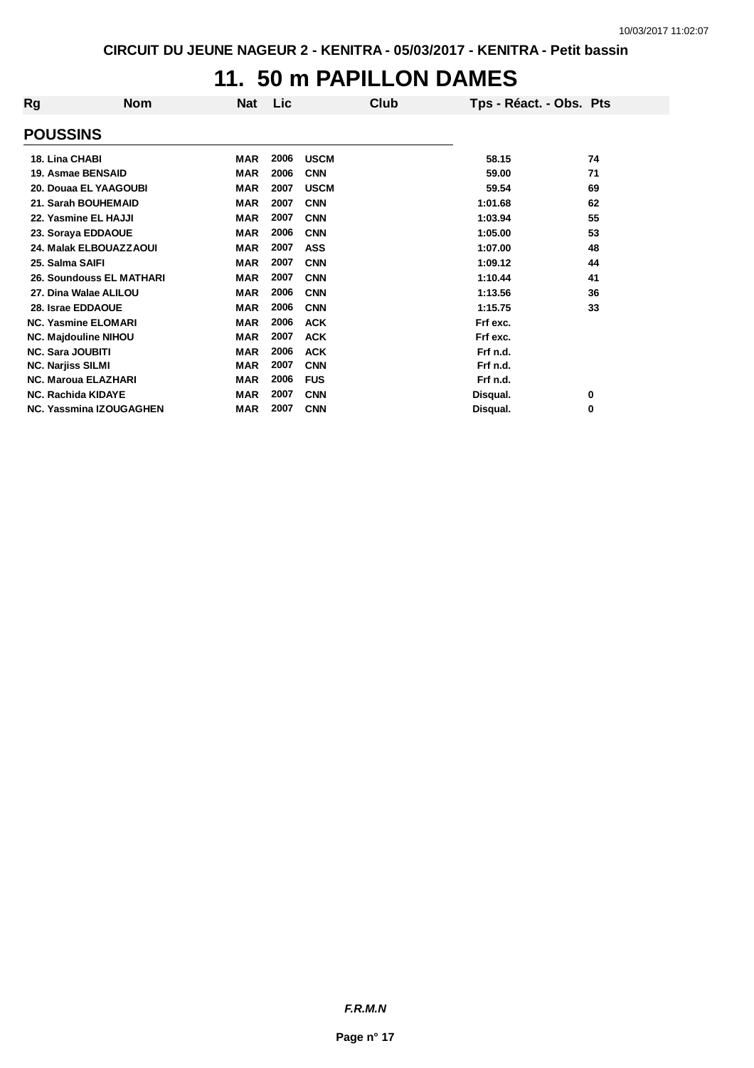# **11. 50 m PAPILLON DAMES**

| Rg                       | <b>Nom</b>                     | <b>Nat</b> | <b>Lic</b> | Club        | Tps - Réact. - Obs. Pts |    |
|--------------------------|--------------------------------|------------|------------|-------------|-------------------------|----|
| <b>POUSSINS</b>          |                                |            |            |             |                         |    |
| 18. Lina CHABI           |                                | <b>MAR</b> | 2006       | <b>USCM</b> | 58.15                   | 74 |
|                          | 19. Asmae BENSAID              | <b>MAR</b> | 2006       | <b>CNN</b>  | 59.00                   | 71 |
|                          | 20. Douaa EL YAAGOUBI          | <b>MAR</b> | 2007       | <b>USCM</b> | 59.54                   | 69 |
|                          | 21. Sarah BOUHEMAID            | <b>MAR</b> | 2007       | <b>CNN</b>  | 1:01.68                 | 62 |
|                          | 22. Yasmine EL HAJJI           | <b>MAR</b> | 2007       | <b>CNN</b>  | 1:03.94                 | 55 |
|                          | 23. Soraya EDDAOUE             | <b>MAR</b> | 2006       | <b>CNN</b>  | 1:05.00                 | 53 |
|                          | 24. Malak ELBOUAZZAOUI         | <b>MAR</b> | 2007       | <b>ASS</b>  | 1:07.00                 | 48 |
| 25. Salma SAIFI          |                                | <b>MAR</b> | 2007       | <b>CNN</b>  | 1:09.12                 | 44 |
|                          | 26. Soundouss EL MATHARI       | <b>MAR</b> | 2007       | <b>CNN</b>  | 1:10.44                 | 41 |
|                          | 27. Dina Walae ALILOU          | <b>MAR</b> | 2006       | <b>CNN</b>  | 1:13.56                 | 36 |
|                          | 28. Israe EDDAOUE              | <b>MAR</b> | 2006       | <b>CNN</b>  | 1:15.75                 | 33 |
|                          | <b>NC. Yasmine ELOMARI</b>     | <b>MAR</b> | 2006       | <b>ACK</b>  | Frf exc.                |    |
|                          | <b>NC. Majdouline NIHOU</b>    | <b>MAR</b> | 2007       | <b>ACK</b>  | Frf exc.                |    |
| <b>NC. Sara JOUBITI</b>  |                                | <b>MAR</b> | 2006       | <b>ACK</b>  | Frf n.d.                |    |
| <b>NC. Narjiss SILMI</b> |                                | <b>MAR</b> | 2007       | <b>CNN</b>  | Frf n.d.                |    |
|                          | <b>NC. Maroua ELAZHARI</b>     | <b>MAR</b> | 2006       | <b>FUS</b>  | Frf n.d.                |    |
|                          | <b>NC. Rachida KIDAYE</b>      | <b>MAR</b> | 2007       | <b>CNN</b>  | Disqual.                | 0  |
|                          | <b>NC. Yassmina IZOUGAGHEN</b> | <b>MAR</b> | 2007       | <b>CNN</b>  | Disqual.                | 0  |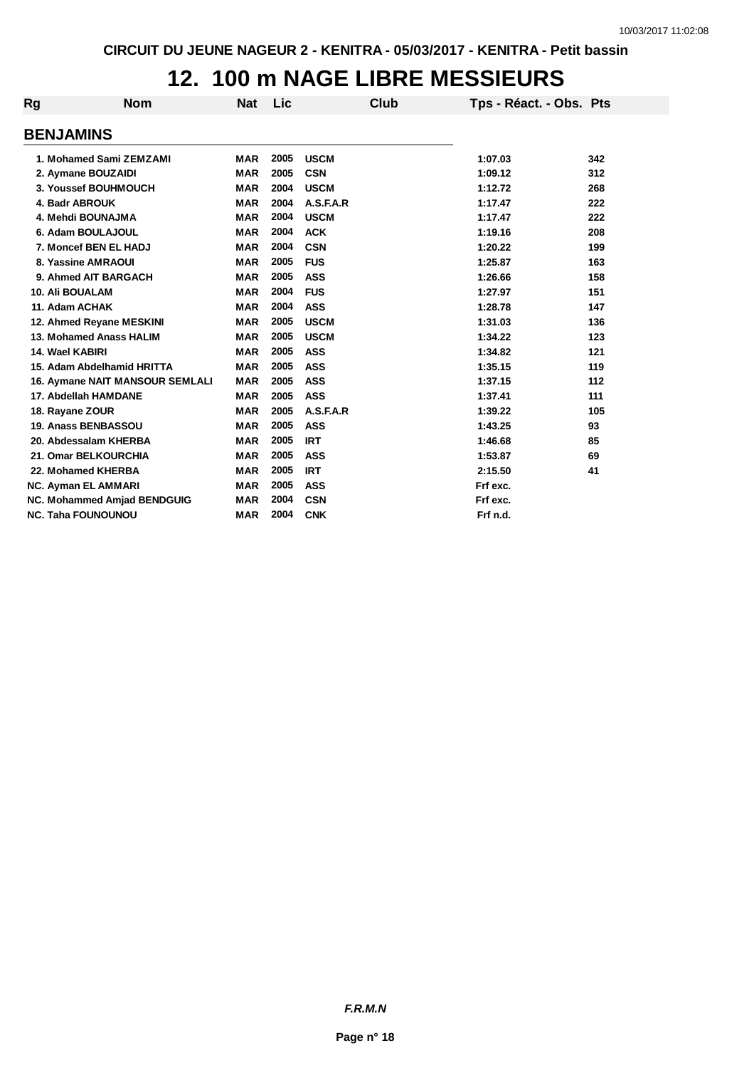# **12. 100 m NAGE LIBRE MESSIEURS**

| <b>Rg</b> | Nom                                    | Nat        | Lic  |             | Club | Tps - Réact. - Obs. Pts |     |
|-----------|----------------------------------------|------------|------|-------------|------|-------------------------|-----|
|           | <b>BENJAMINS</b>                       |            |      |             |      |                         |     |
|           | 1. Mohamed Sami ZEMZAMI                | <b>MAR</b> | 2005 | <b>USCM</b> |      | 1:07.03                 | 342 |
|           | 2. Aymane BOUZAIDI                     | <b>MAR</b> | 2005 | <b>CSN</b>  |      | 1:09.12                 | 312 |
|           | 3. Youssef BOUHMOUCH                   | <b>MAR</b> | 2004 | <b>USCM</b> |      | 1:12.72                 | 268 |
|           | 4. Badr ABROUK                         | <b>MAR</b> | 2004 | A.S.F.A.R   |      | 1:17.47                 | 222 |
|           | 4. Mehdi BOUNAJMA                      | <b>MAR</b> | 2004 | <b>USCM</b> |      | 1:17.47                 | 222 |
|           | 6. Adam BOULAJOUL                      | <b>MAR</b> | 2004 | <b>ACK</b>  |      | 1:19.16                 | 208 |
|           | 7. Moncef BEN EL HADJ                  | <b>MAR</b> | 2004 | <b>CSN</b>  |      | 1:20.22                 | 199 |
|           | 8. Yassine AMRAOUI                     | <b>MAR</b> | 2005 | <b>FUS</b>  |      | 1:25.87                 | 163 |
|           | 9. Ahmed AIT BARGACH                   | <b>MAR</b> | 2005 | <b>ASS</b>  |      | 1:26.66                 | 158 |
|           | <b>10. Ali BOUALAM</b>                 | <b>MAR</b> | 2004 | <b>FUS</b>  |      | 1:27.97                 | 151 |
|           | 11. Adam ACHAK                         | <b>MAR</b> | 2004 | <b>ASS</b>  |      | 1:28.78                 | 147 |
|           | 12. Ahmed Reyane MESKINI               | <b>MAR</b> | 2005 | <b>USCM</b> |      | 1:31.03                 | 136 |
|           | 13. Mohamed Anass HALIM                | <b>MAR</b> | 2005 | <b>USCM</b> |      | 1:34.22                 | 123 |
|           | 14. Wael KABIRI                        | <b>MAR</b> | 2005 | <b>ASS</b>  |      | 1:34.82                 | 121 |
|           | 15. Adam Abdelhamid HRITTA             | <b>MAR</b> | 2005 | <b>ASS</b>  |      | 1:35.15                 | 119 |
|           | <b>16. Aymane NAIT MANSOUR SEMLALI</b> | <b>MAR</b> | 2005 | <b>ASS</b>  |      | 1:37.15                 | 112 |
|           | 17. Abdellah HAMDANE                   | <b>MAR</b> | 2005 | <b>ASS</b>  |      | 1:37.41                 | 111 |
|           | 18. Rayane ZOUR                        | <b>MAR</b> | 2005 | A.S.F.A.R   |      | 1:39.22                 | 105 |
|           | 19. Anass BENBASSOU                    | <b>MAR</b> | 2005 | <b>ASS</b>  |      | 1:43.25                 | 93  |
|           | 20. Abdessalam KHERBA                  | <b>MAR</b> | 2005 | <b>IRT</b>  |      | 1:46.68                 | 85  |
|           | 21. Omar BELKOURCHIA                   | <b>MAR</b> | 2005 | <b>ASS</b>  |      | 1:53.87                 | 69  |
|           | 22. Mohamed KHERBA                     | <b>MAR</b> | 2005 | <b>IRT</b>  |      | 2:15.50                 | 41  |
|           | <b>NC. Ayman EL AMMARI</b>             | <b>MAR</b> | 2005 | <b>ASS</b>  |      | Frf exc.                |     |
|           | <b>NC. Mohammed Amjad BENDGUIG</b>     | <b>MAR</b> | 2004 | <b>CSN</b>  |      | Frf exc.                |     |
|           | <b>NC. Taha FOUNOUNOU</b>              | <b>MAR</b> | 2004 | <b>CNK</b>  |      | Frf n.d.                |     |

*F.R.M.N*

**Page n° 18**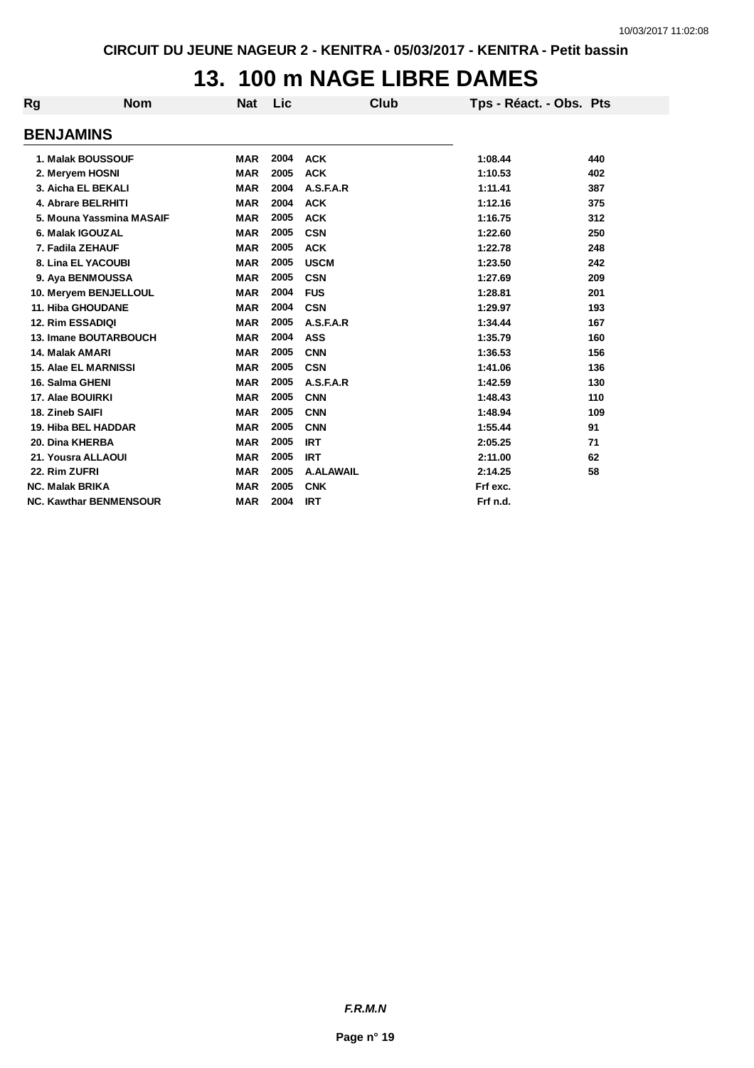# **13. 100 m NAGE LIBRE DAMES**

| Rg | <b>Nom</b>                    | <b>Nat</b> | Lic  | <b>Club</b>      | Tps - Réact. - Obs. Pts |     |
|----|-------------------------------|------------|------|------------------|-------------------------|-----|
|    | <b>BENJAMINS</b>              |            |      |                  |                         |     |
|    | 1. Malak BOUSSOUF             | <b>MAR</b> | 2004 | <b>ACK</b>       | 1:08.44                 | 440 |
|    | 2. Meryem HOSNI               | <b>MAR</b> | 2005 | <b>ACK</b>       | 1:10.53                 | 402 |
|    | 3. Aicha EL BEKALI            | <b>MAR</b> | 2004 | A.S.F.A.R        | 1:11.41                 | 387 |
|    | 4. Abrare BELRHITI            | <b>MAR</b> | 2004 | <b>ACK</b>       | 1:12.16                 | 375 |
|    | 5. Mouna Yassmina MASAIF      | <b>MAR</b> | 2005 | <b>ACK</b>       | 1:16.75                 | 312 |
|    | 6. Malak IGOUZAL              | <b>MAR</b> | 2005 | <b>CSN</b>       | 1:22.60                 | 250 |
|    | 7. Fadila ZEHAUF              | <b>MAR</b> | 2005 | <b>ACK</b>       | 1:22.78                 | 248 |
|    | 8. Lina EL YACOUBI            | <b>MAR</b> | 2005 | <b>USCM</b>      | 1:23.50                 | 242 |
|    | 9. Aya BENMOUSSA              | <b>MAR</b> | 2005 | <b>CSN</b>       | 1:27.69                 | 209 |
|    | 10. Meryem BENJELLOUL         | <b>MAR</b> | 2004 | <b>FUS</b>       | 1:28.81                 | 201 |
|    | <b>11. Hiba GHOUDANE</b>      | <b>MAR</b> | 2004 | <b>CSN</b>       | 1:29.97                 | 193 |
|    | <b>12. Rim ESSADIQI</b>       | <b>MAR</b> | 2005 | A.S.F.A.R        | 1:34.44                 | 167 |
|    | 13. Imane BOUTARBOUCH         | <b>MAR</b> | 2004 | <b>ASS</b>       | 1:35.79                 | 160 |
|    | 14. Malak AMARI               | <b>MAR</b> | 2005 | <b>CNN</b>       | 1:36.53                 | 156 |
|    | <b>15. Alae EL MARNISSI</b>   | <b>MAR</b> | 2005 | <b>CSN</b>       | 1:41.06                 | 136 |
|    | 16. Salma GHENI               | <b>MAR</b> | 2005 | A.S.F.A.R        | 1:42.59                 | 130 |
|    | 17. Alae BOUIRKI              | <b>MAR</b> | 2005 | <b>CNN</b>       | 1:48.43                 | 110 |
|    | 18. Zineb SAIFI               | <b>MAR</b> | 2005 | <b>CNN</b>       | 1:48.94                 | 109 |
|    | 19. Hiba BEL HADDAR           | <b>MAR</b> | 2005 | <b>CNN</b>       | 1:55.44                 | 91  |
|    | 20. Dina KHERBA               | <b>MAR</b> | 2005 | <b>IRT</b>       | 2:05.25                 | 71  |
|    | 21. Yousra ALLAOUI            | <b>MAR</b> | 2005 | <b>IRT</b>       | 2:11.00                 | 62  |
|    | 22. Rim ZUFRI                 | <b>MAR</b> | 2005 | <b>A.ALAWAIL</b> | 2:14.25                 | 58  |
|    | <b>NC. Malak BRIKA</b>        | <b>MAR</b> | 2005 | <b>CNK</b>       | Frf exc.                |     |
|    | <b>NC. Kawthar BENMENSOUR</b> | <b>MAR</b> | 2004 | <b>IRT</b>       | Frf n.d.                |     |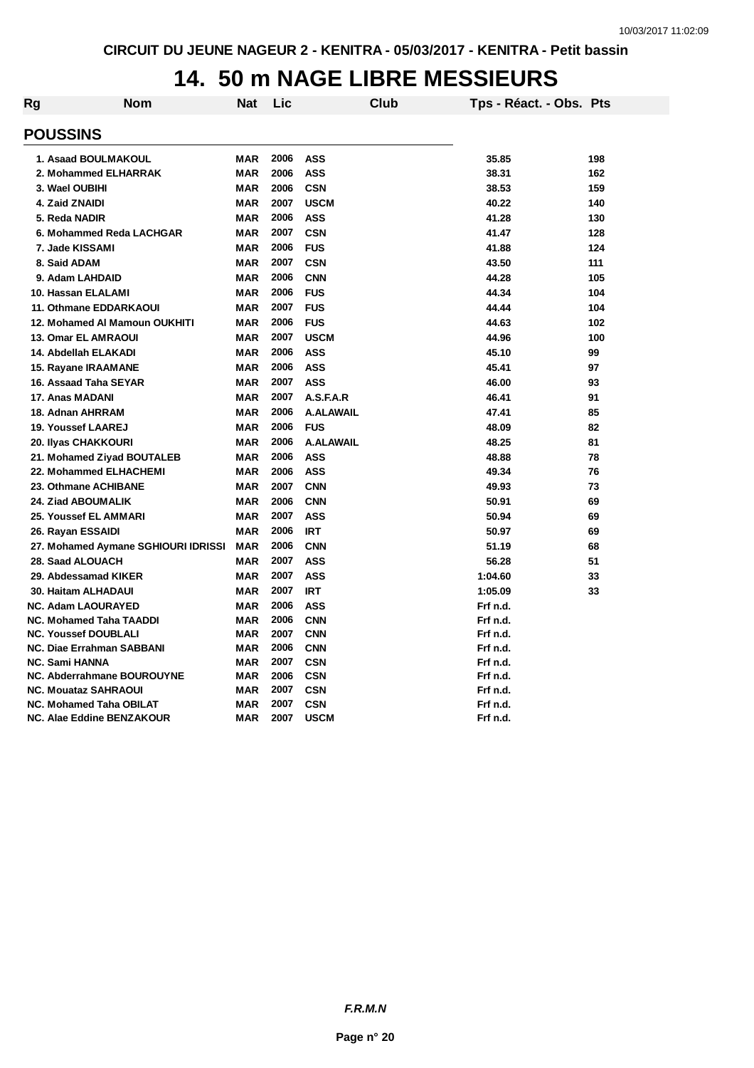# **14. 50 m NAGE LIBRE MESSIEURS**

| Rg | <b>Nom</b>                          | Nat        | Lic  |                  | Club | Tps - Réact. - Obs. Pts |     |
|----|-------------------------------------|------------|------|------------------|------|-------------------------|-----|
|    |                                     |            |      |                  |      |                         |     |
|    | <b>POUSSINS</b>                     |            |      |                  |      |                         |     |
|    | 1. Asaad BOULMAKOUL                 | MAR        | 2006 | ASS              |      | 35.85                   | 198 |
|    | 2. Mohammed ELHARRAK                | <b>MAR</b> | 2006 | <b>ASS</b>       |      | 38.31                   | 162 |
|    | 3. Wael OUBIHI                      | <b>MAR</b> | 2006 | <b>CSN</b>       |      | 38.53                   | 159 |
|    | 4. Zaid ZNAIDI                      | <b>MAR</b> | 2007 | <b>USCM</b>      |      | 40.22                   | 140 |
|    | 5. Reda NADIR                       | <b>MAR</b> | 2006 | <b>ASS</b>       |      | 41.28                   | 130 |
|    | 6. Mohammed Reda LACHGAR            | <b>MAR</b> | 2007 | <b>CSN</b>       |      | 41.47                   | 128 |
|    | 7. Jade KISSAMI                     | <b>MAR</b> | 2006 | <b>FUS</b>       |      | 41.88                   | 124 |
|    | 8. Said ADAM                        | <b>MAR</b> | 2007 | <b>CSN</b>       |      | 43.50                   | 111 |
|    | 9. Adam LAHDAID                     | <b>MAR</b> | 2006 | <b>CNN</b>       |      | 44.28                   | 105 |
|    | 10. Hassan ELALAMI                  | <b>MAR</b> | 2006 | <b>FUS</b>       |      | 44.34                   | 104 |
|    | 11. Othmane EDDARKAOUI              | <b>MAR</b> | 2007 | <b>FUS</b>       |      | 44.44                   | 104 |
|    | 12. Mohamed AI Mamoun OUKHITI       | <b>MAR</b> | 2006 | <b>FUS</b>       |      | 44.63                   | 102 |
|    | <b>13. Omar EL AMRAOUI</b>          | <b>MAR</b> | 2007 | <b>USCM</b>      |      | 44.96                   | 100 |
|    | 14. Abdellah ELAKADI                | <b>MAR</b> | 2006 | <b>ASS</b>       |      | 45.10                   | 99  |
|    | 15. Rayane IRAAMANE                 | <b>MAR</b> | 2006 | <b>ASS</b>       |      | 45.41                   | 97  |
|    | 16. Assaad Taha SEYAR               | <b>MAR</b> | 2007 | <b>ASS</b>       |      | 46.00                   | 93  |
|    | 17. Anas MADANI                     | <b>MAR</b> | 2007 | A.S.F.A.R        |      | 46.41                   | 91  |
|    | 18. Adnan AHRRAM                    | <b>MAR</b> | 2006 | <b>A.ALAWAIL</b> |      | 47.41                   | 85  |
|    | <b>19. Youssef LAAREJ</b>           | <b>MAR</b> | 2006 | <b>FUS</b>       |      | 48.09                   | 82  |
|    | 20. Ilyas CHAKKOURI                 | <b>MAR</b> | 2006 | <b>A.ALAWAIL</b> |      | 48.25                   | 81  |
|    | 21. Mohamed Ziyad BOUTALEB          | MAR        | 2006 | <b>ASS</b>       |      | 48.88                   | 78  |
|    | 22. Mohammed ELHACHEMI              | <b>MAR</b> | 2006 | <b>ASS</b>       |      | 49.34                   | 76  |
|    | 23. Othmane ACHIBANE                | <b>MAR</b> | 2007 | <b>CNN</b>       |      | 49.93                   | 73  |
|    | 24. Ziad ABOUMALIK                  | <b>MAR</b> | 2006 | <b>CNN</b>       |      | 50.91                   | 69  |
|    | 25. Youssef EL AMMARI               | <b>MAR</b> | 2007 | <b>ASS</b>       |      | 50.94                   | 69  |
|    | 26. Rayan ESSAIDI                   | <b>MAR</b> | 2006 | <b>IRT</b>       |      | 50.97                   | 69  |
|    | 27. Mohamed Aymane SGHIOURI IDRISSI | <b>MAR</b> | 2006 | <b>CNN</b>       |      | 51.19                   | 68  |
|    | 28. Saad ALOUACH                    | <b>MAR</b> | 2007 | <b>ASS</b>       |      | 56.28                   | 51  |
|    | 29. Abdessamad KIKER                | <b>MAR</b> | 2007 | <b>ASS</b>       |      | 1:04.60                 | 33  |
|    | 30. Haitam ALHADAUI                 | <b>MAR</b> | 2007 | <b>IRT</b>       |      | 1:05.09                 | 33  |
|    | NC. Adam LAOURAYED                  | <b>MAR</b> | 2006 | <b>ASS</b>       |      | Frf n.d.                |     |
|    | <b>NC. Mohamed Taha TAADDI</b>      | <b>MAR</b> | 2006 | <b>CNN</b>       |      | Frf n.d.                |     |
|    | <b>NC. Youssef DOUBLALI</b>         | <b>MAR</b> | 2007 | <b>CNN</b>       |      | Frf n.d.                |     |
|    | <b>NC. Diae Errahman SABBANI</b>    | <b>MAR</b> | 2006 | <b>CNN</b>       |      | Frf n.d.                |     |
|    | <b>NC. Sami HANNA</b>               | <b>MAR</b> | 2007 | <b>CSN</b>       |      | Frf n.d.                |     |
|    | NC. Abderrahmane BOUROUYNE          | <b>MAR</b> | 2006 | <b>CSN</b>       |      | Frf n.d.                |     |
|    | <b>NC. Mouataz SAHRAOUI</b>         | <b>MAR</b> | 2007 | <b>CSN</b>       |      | Frf n.d.                |     |
|    | <b>NC. Mohamed Taha OBILAT</b>      | <b>MAR</b> | 2007 | <b>CSN</b>       |      | Frf n.d.                |     |
|    | NC. Alae Eddine BENZAKOUR           | <b>MAR</b> | 2007 | <b>USCM</b>      |      | Frf n.d.                |     |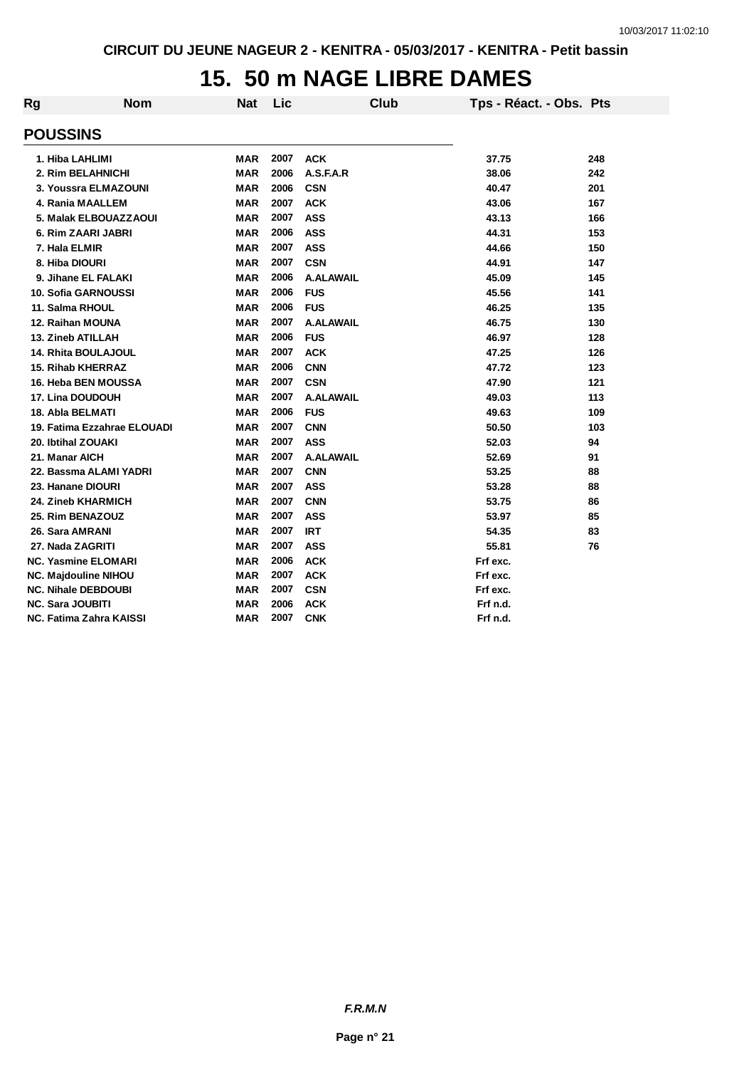# **15. 50 m NAGE LIBRE DAMES**

| Rg              | <b>Nom</b>                  | <b>Nat</b> | Lic  | Club             | Tps - Réact. - Obs. Pts |     |
|-----------------|-----------------------------|------------|------|------------------|-------------------------|-----|
| <b>POUSSINS</b> |                             |            |      |                  |                         |     |
|                 | 1. Hiba LAHLIMI             | <b>MAR</b> | 2007 | <b>ACK</b>       | 37.75                   | 248 |
|                 | 2. Rim BELAHNICHI           | <b>MAR</b> | 2006 | A.S.F.A.R        | 38.06                   | 242 |
|                 | 3. Youssra ELMAZOUNI        | <b>MAR</b> | 2006 | <b>CSN</b>       | 40.47                   | 201 |
|                 | 4. Rania MAALLEM            | <b>MAR</b> | 2007 | <b>ACK</b>       | 43.06                   | 167 |
|                 | 5. Malak ELBOUAZZAOUI       | <b>MAR</b> | 2007 | <b>ASS</b>       | 43.13                   | 166 |
|                 | 6. Rim ZAARI JABRI          | <b>MAR</b> | 2006 | <b>ASS</b>       | 44.31                   | 153 |
|                 | 7. Hala ELMIR               | <b>MAR</b> | 2007 | <b>ASS</b>       | 44.66                   | 150 |
|                 | 8. Hiba DIOURI              | <b>MAR</b> | 2007 | <b>CSN</b>       | 44.91                   | 147 |
|                 | 9. Jihane EL FALAKI         | <b>MAR</b> | 2006 | <b>A.ALAWAIL</b> | 45.09                   | 145 |
|                 | 10. Sofia GARNOUSSI         | <b>MAR</b> | 2006 | <b>FUS</b>       | 45.56                   | 141 |
|                 | 11. Salma RHOUL             | <b>MAR</b> | 2006 | <b>FUS</b>       | 46.25                   | 135 |
|                 | 12. Raihan MOUNA            | <b>MAR</b> | 2007 | <b>A.ALAWAIL</b> | 46.75                   | 130 |
|                 | <b>13. Zineb ATILLAH</b>    | <b>MAR</b> | 2006 | <b>FUS</b>       | 46.97                   | 128 |
|                 | <b>14. Rhita BOULAJOUL</b>  | <b>MAR</b> | 2007 | <b>ACK</b>       | 47.25                   | 126 |
|                 | <b>15. Rihab KHERRAZ</b>    | <b>MAR</b> | 2006 | <b>CNN</b>       | 47.72                   | 123 |
|                 | 16. Heba BEN MOUSSA         | <b>MAR</b> | 2007 | <b>CSN</b>       | 47.90                   | 121 |
|                 | 17. Lina DOUDOUH            | <b>MAR</b> | 2007 | <b>A.ALAWAIL</b> | 49.03                   | 113 |
|                 | 18. Abla BELMATI            | <b>MAR</b> | 2006 | <b>FUS</b>       | 49.63                   | 109 |
|                 | 19. Fatima Ezzahrae ELOUADI | <b>MAR</b> | 2007 | <b>CNN</b>       | 50.50                   | 103 |
|                 | 20. Ibtihal ZOUAKI          | <b>MAR</b> | 2007 | <b>ASS</b>       | 52.03                   | 94  |
| 21. Manar AICH  |                             | <b>MAR</b> | 2007 | <b>A.ALAWAIL</b> | 52.69                   | 91  |
|                 | 22. Bassma ALAMI YADRI      | <b>MAR</b> | 2007 | <b>CNN</b>       | 53.25                   | 88  |
|                 | 23. Hanane DIOURI           | <b>MAR</b> | 2007 | <b>ASS</b>       | 53.28                   | 88  |
|                 | 24. Zineb KHARMICH          | <b>MAR</b> | 2007 | <b>CNN</b>       | 53.75                   | 86  |
|                 | 25. Rim BENAZOUZ            | <b>MAR</b> | 2007 | <b>ASS</b>       | 53.97                   | 85  |
|                 | 26. Sara AMRANI             | <b>MAR</b> | 2007 | <b>IRT</b>       | 54.35                   | 83  |
|                 | 27. Nada ZAGRITI            | <b>MAR</b> | 2007 | <b>ASS</b>       | 55.81                   | 76  |
|                 | <b>NC. Yasmine ELOMARI</b>  | <b>MAR</b> | 2006 | <b>ACK</b>       | Frf exc.                |     |
|                 | <b>NC. Majdouline NIHOU</b> | <b>MAR</b> | 2007 | <b>ACK</b>       | Frf exc.                |     |
|                 | <b>NC. Nihale DEBDOUBI</b>  | MAR        | 2007 | <b>CSN</b>       | Frf exc.                |     |
|                 | <b>NC. Sara JOUBITI</b>     | <b>MAR</b> | 2006 | <b>ACK</b>       | Frf n.d.                |     |
|                 | NC. Fatima Zahra KAISSI     | <b>MAR</b> | 2007 | <b>CNK</b>       | Frf n.d.                |     |